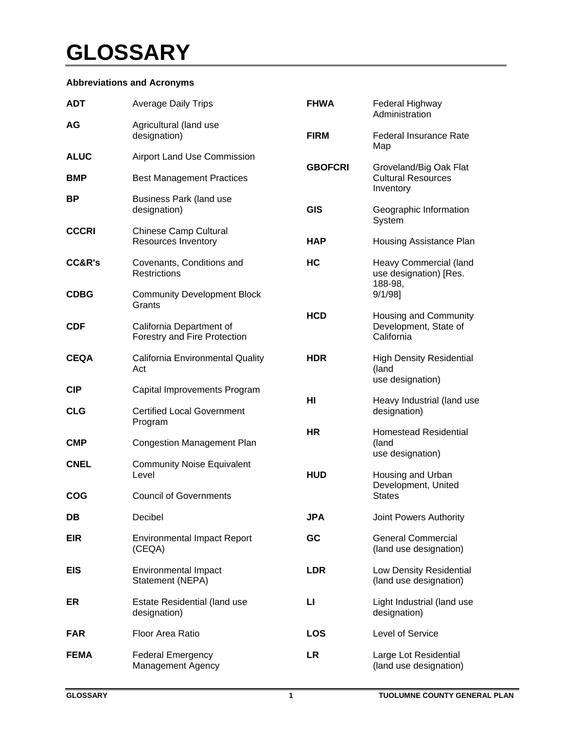# **Abbreviations and Acronyms**

| <b>ADT</b>        | <b>Average Daily Trips</b>                               | <b>FHWA</b>    | Federal Highway<br>Administration                                |
|-------------------|----------------------------------------------------------|----------------|------------------------------------------------------------------|
| AG                | Agricultural (land use<br>designation)                   | <b>FIRM</b>    | <b>Federal Insurance Rate</b>                                    |
| <b>ALUC</b>       | <b>Airport Land Use Commission</b>                       |                | Map                                                              |
| <b>BMP</b>        | <b>Best Management Practices</b>                         | <b>GBOFCRI</b> | Groveland/Big Oak Flat<br><b>Cultural Resources</b><br>Inventory |
| ВP                | <b>Business Park (land use</b><br>designation)           | <b>GIS</b>     | Geographic Information<br>System                                 |
| <b>CCCRI</b>      | <b>Chinese Camp Cultural</b><br>Resources Inventory      | <b>HAP</b>     | Housing Assistance Plan                                          |
| <b>CC&amp;R's</b> | Covenants, Conditions and<br><b>Restrictions</b>         | HC             | Heavy Commercial (land<br>use designation) [Res.<br>188-98,      |
| <b>CDBG</b>       | <b>Community Development Block</b><br>Grants             |                | $9/1/98$ ]                                                       |
| <b>CDF</b>        | California Department of<br>Forestry and Fire Protection | <b>HCD</b>     | Housing and Community<br>Development, State of<br>California     |
| <b>CEQA</b>       | California Environmental Quality<br>Act                  | <b>HDR</b>     | <b>High Density Residential</b><br>(land<br>use designation)     |
| <b>CIP</b>        | Capital Improvements Program                             | HI             | Heavy Industrial (land use                                       |
| <b>CLG</b>        | <b>Certified Local Government</b><br>Program             |                | designation)                                                     |
| <b>CMP</b>        | <b>Congestion Management Plan</b>                        | <b>HR</b>      | <b>Homestead Residential</b><br>(land<br>use designation)        |
| <b>CNEL</b>       | <b>Community Noise Equivalent</b><br>Level               | <b>HUD</b>     | Housing and Urban                                                |
| <b>COG</b>        | <b>Council of Governments</b>                            |                | Development, United<br><b>States</b>                             |
| DB                | Decibel                                                  | <b>JPA</b>     | Joint Powers Authority                                           |
| <b>EIR</b>        | <b>Environmental Impact Report</b><br>(CEQA)             | GC             | <b>General Commercial</b><br>(land use designation)              |
| <b>EIS</b>        | Environmental Impact<br>Statement (NEPA)                 | <b>LDR</b>     | Low Density Residential<br>(land use designation)                |
| ER                | Estate Residential (land use<br>designation)             | Ц              | Light Industrial (land use<br>designation)                       |
| <b>FAR</b>        | <b>Floor Area Ratio</b>                                  | <b>LOS</b>     | Level of Service                                                 |
| <b>FEMA</b>       | <b>Federal Emergency</b><br><b>Management Agency</b>     | <b>LR</b>      | Large Lot Residential<br>(land use designation)                  |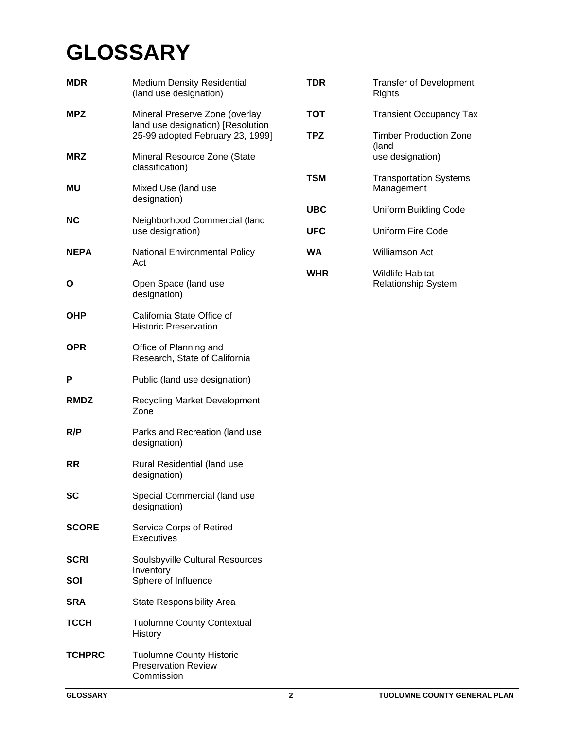| <b>MDR</b>    | <b>Medium Density Residential</b><br>(land use designation)                                             | <b>TDR</b> | <b>Transfer of Development</b><br><b>Rights</b>       |
|---------------|---------------------------------------------------------------------------------------------------------|------------|-------------------------------------------------------|
| <b>MPZ</b>    | Mineral Preserve Zone (overlay<br>land use designation) [Resolution<br>25-99 adopted February 23, 1999] | <b>TOT</b> | <b>Transient Occupancy Tax</b>                        |
|               |                                                                                                         | <b>TPZ</b> | <b>Timber Production Zone</b><br>(land                |
| <b>MRZ</b>    | Mineral Resource Zone (State<br>classification)                                                         |            | use designation)                                      |
| ΜU            | Mixed Use (land use<br>designation)                                                                     | <b>TSM</b> | <b>Transportation Systems</b><br>Management           |
| <b>NC</b>     | Neighborhood Commercial (land                                                                           | <b>UBC</b> | Uniform Building Code                                 |
|               | use designation)                                                                                        | <b>UFC</b> | Uniform Fire Code                                     |
| <b>NEPA</b>   | National Environmental Policy<br>Act                                                                    | <b>WA</b>  | Williamson Act                                        |
| O             | Open Space (land use                                                                                    | <b>WHR</b> | <b>Wildlife Habitat</b><br><b>Relationship System</b> |
|               | designation)                                                                                            |            |                                                       |
| <b>OHP</b>    | California State Office of<br><b>Historic Preservation</b>                                              |            |                                                       |
| <b>OPR</b>    | Office of Planning and<br>Research, State of California                                                 |            |                                                       |
| P             | Public (land use designation)                                                                           |            |                                                       |
| <b>RMDZ</b>   | <b>Recycling Market Development</b><br>Zone                                                             |            |                                                       |
| R/P           | Parks and Recreation (land use<br>designation)                                                          |            |                                                       |
| <b>RR</b>     | Rural Residential (land use<br>designation)                                                             |            |                                                       |
| <b>SC</b>     | Special Commercial (land use<br>designation)                                                            |            |                                                       |
| <b>SCORE</b>  | Service Corps of Retired<br>Executives                                                                  |            |                                                       |
| <b>SCRI</b>   | Soulsbyville Cultural Resources                                                                         |            |                                                       |
| SOI           | Inventory<br>Sphere of Influence                                                                        |            |                                                       |
| <b>SRA</b>    | <b>State Responsibility Area</b>                                                                        |            |                                                       |
| <b>TCCH</b>   | <b>Tuolumne County Contextual</b><br>History                                                            |            |                                                       |
| <b>TCHPRC</b> | <b>Tuolumne County Historic</b><br><b>Preservation Review</b><br>Commission                             |            |                                                       |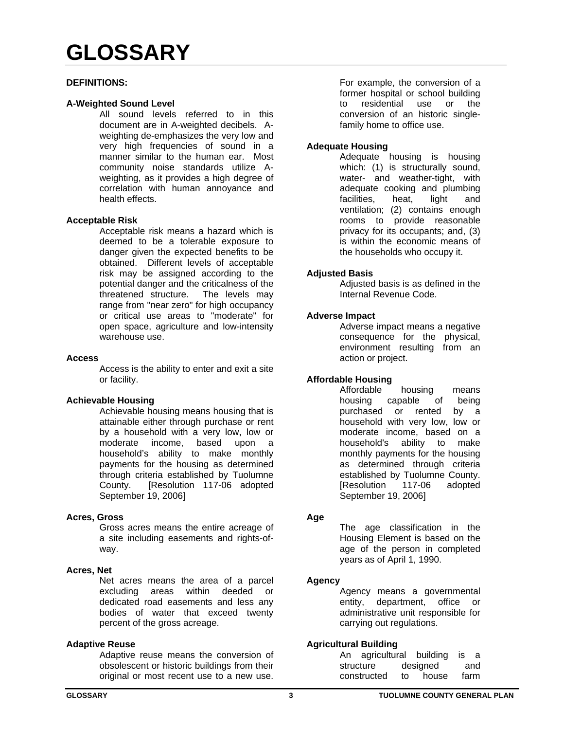## **DEFINITIONS:**

### **A-Weighted Sound Level**

All sound levels referred to in this document are in A-weighted decibels. Aweighting de-emphasizes the very low and very high frequencies of sound in a manner similar to the human ear. Most community noise standards utilize Aweighting, as it provides a high degree of correlation with human annoyance and health effects.

## **Acceptable Risk**

Acceptable risk means a hazard which is deemed to be a tolerable exposure to danger given the expected benefits to be obtained. Different levels of acceptable risk may be assigned according to the potential danger and the criticalness of the threatened structure. The levels may range from "near zero" for high occupancy or critical use areas to "moderate" for open space, agriculture and low-intensity warehouse use.

## **Access**

Access is the ability to enter and exit a site or facility.

# **Achievable Housing**

Achievable housing means housing that is attainable either through purchase or rent by a household with a very low, low or moderate income, based upon a household's ability to make monthly payments for the housing as determined through criteria established by Tuolumne County. [Resolution 117-06 adopted September 19, 2006]

#### **Acres, Gross**

Gross acres means the entire acreage of a site including easements and rights-ofway.

### **Acres, Net**

Net acres means the area of a parcel excluding areas within deeded or dedicated road easements and less any bodies of water that exceed twenty percent of the gross acreage.

# **Adaptive Reuse**

Adaptive reuse means the conversion of obsolescent or historic buildings from their original or most recent use to a new use.

For example, the conversion of a former hospital or school building to residential use or the conversion of an historic singlefamily home to office use.

## **Adequate Housing**

Adequate housing is housing which: (1) is structurally sound, water- and weather-tight, with adequate cooking and plumbing facilities, heat, light and ventilation; (2) contains enough rooms to provide reasonable privacy for its occupants; and, (3) is within the economic means of the households who occupy it.

## **Adjusted Basis**

Adjusted basis is as defined in the Internal Revenue Code.

## **Adverse Impact**

Adverse impact means a negative consequence for the physical, environment resulting from an action or project.

# **Affordable Housing**

Affordable housing means housing capable of being purchased or rented by a household with very low, low or moderate income, based on a household's ability to make monthly payments for the housing as determined through criteria established by Tuolumne County. [Resolution 117-06 adopted September 19, 2006]

#### **Age**

The age classification in the Housing Element is based on the age of the person in completed years as of April 1, 1990.

#### **Agency**

Agency means a governmental entity, department, office or administrative unit responsible for carrying out regulations.

# **Agricultural Building**

 An agricultural building is a structure designed and constructed to house farm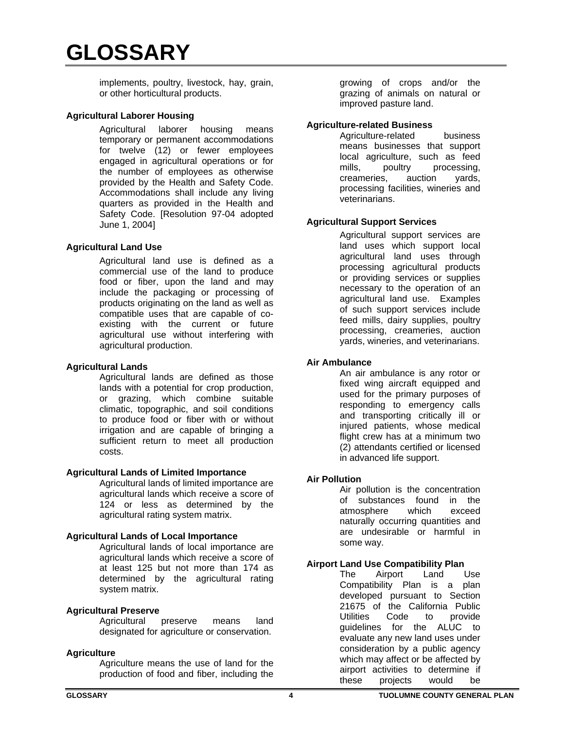implements, poultry, livestock, hay, grain, or other horticultural products.

## **Agricultural Laborer Housing**

Agricultural laborer housing means temporary or permanent accommodations for twelve (12) or fewer employees engaged in agricultural operations or for the number of employees as otherwise provided by the Health and Safety Code. Accommodations shall include any living quarters as provided in the Health and Safety Code. [Resolution 97-04 adopted June 1, 2004]

## **Agricultural Land Use**

Agricultural land use is defined as a commercial use of the land to produce food or fiber, upon the land and may include the packaging or processing of products originating on the land as well as compatible uses that are capable of coexisting with the current or future agricultural use without interfering with agricultural production.

### **Agricultural Lands**

Agricultural lands are defined as those lands with a potential for crop production, or grazing, which combine suitable climatic, topographic, and soil conditions to produce food or fiber with or without irrigation and are capable of bringing a sufficient return to meet all production costs.

# **Agricultural Lands of Limited Importance**

Agricultural lands of limited importance are agricultural lands which receive a score of 124 or less as determined by the agricultural rating system matrix.

# **Agricultural Lands of Local Importance**

Agricultural lands of local importance are agricultural lands which receive a score of at least 125 but not more than 174 as determined by the agricultural rating system matrix.

#### **Agricultural Preserve**

Agricultural preserve means land designated for agriculture or conservation.

#### **Agriculture**

Agriculture means the use of land for the production of food and fiber, including the

growing of crops and/or the grazing of animals on natural or improved pasture land.

### **Agriculture-related Business**

Agriculture-related business means businesses that support local agriculture, such as feed mills, poultry processing, creameries, auction yards, processing facilities, wineries and veterinarians.

# **Agricultural Support Services**

Agricultural support services are land uses which support local agricultural land uses through processing agricultural products or providing services or supplies necessary to the operation of an agricultural land use. Examples of such support services include feed mills, dairy supplies, poultry processing, creameries, auction yards, wineries, and veterinarians.

# **Air Ambulance**

An air ambulance is any rotor or fixed wing aircraft equipped and used for the primary purposes of responding to emergency calls and transporting critically ill or injured patients, whose medical flight crew has at a minimum two (2) attendants certified or licensed in advanced life support.

# **Air Pollution**

Air pollution is the concentration of substances found in the atmosphere which exceed naturally occurring quantities and are undesirable or harmful in some way.

# **Airport Land Use Compatibility Plan**

The Airport Land Use Compatibility Plan is a plan developed pursuant to Section 21675 of the California Public Utilities Code to provide guidelines for the ALUC to evaluate any new land uses under consideration by a public agency which may affect or be affected by airport activities to determine if these projects would be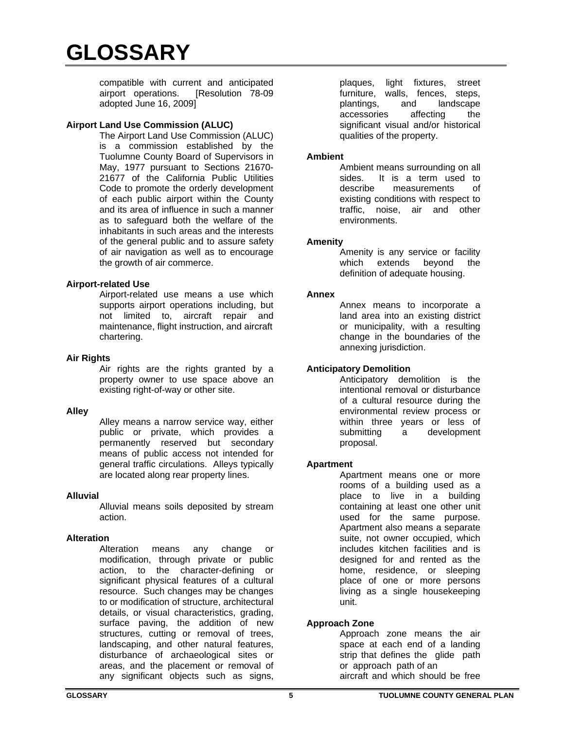compatible with current and anticipated airport operations. [Resolution 78-09 adopted June 16, 2009]

# **Airport Land Use Commission (ALUC)**

The Airport Land Use Commission (ALUC) is a commission established by the Tuolumne County Board of Supervisors in May, 1977 pursuant to Sections 21670- 21677 of the California Public Utilities Code to promote the orderly development of each public airport within the County and its area of influence in such a manner as to safeguard both the welfare of the inhabitants in such areas and the interests of the general public and to assure safety of air navigation as well as to encourage the growth of air commerce.

# **Airport-related Use**

Airport-related use means a use which supports airport operations including, but not limited to, aircraft repair and maintenance, flight instruction, and aircraft chartering.

# **Air Rights**

Air rights are the rights granted by a property owner to use space above an existing right-of-way or other site.

# **Alley**

Alley means a narrow service way, either public or private, which provides a permanently reserved but secondary means of public access not intended for general traffic circulations. Alleys typically are located along rear property lines.

# **Alluvial**

Alluvial means soils deposited by stream action.

# **Alteration**

Alteration means any change or modification, through private or public action, to the character-defining or significant physical features of a cultural resource. Such changes may be changes to or modification of structure, architectural details, or visual characteristics, grading, surface paving, the addition of new structures, cutting or removal of trees, landscaping, and other natural features, disturbance of archaeological sites or areas, and the placement or removal of any significant objects such as signs,

plaques, light fixtures, street furniture, walls, fences, steps, plantings, and landscape accessories affecting the significant visual and/or historical qualities of the property.

# **Ambient**

Ambient means surrounding on all sides. It is a term used to describe measurements of existing conditions with respect to traffic, noise, air and other environments.

# **Amenity**

Amenity is any service or facility which extends beyond the definition of adequate housing.

# **Annex**

Annex means to incorporate a land area into an existing district or municipality, with a resulting change in the boundaries of the annexing jurisdiction.

# **Anticipatory Demolition**

Anticipatory demolition is the intentional removal or disturbance of a cultural resource during the environmental review process or within three years or less of submitting a development proposal.

# **Apartment**

 Apartment means one or more rooms of a building used as a place to live in a building containing at least one other unit used for the same purpose. Apartment also means a separate suite, not owner occupied, which includes kitchen facilities and is designed for and rented as the home, residence, or sleeping place of one or more persons living as a single housekeeping unit.

# **Approach Zone**

Approach zone means the air space at each end of a landing strip that defines the glide path or approach path of an aircraft and which should be free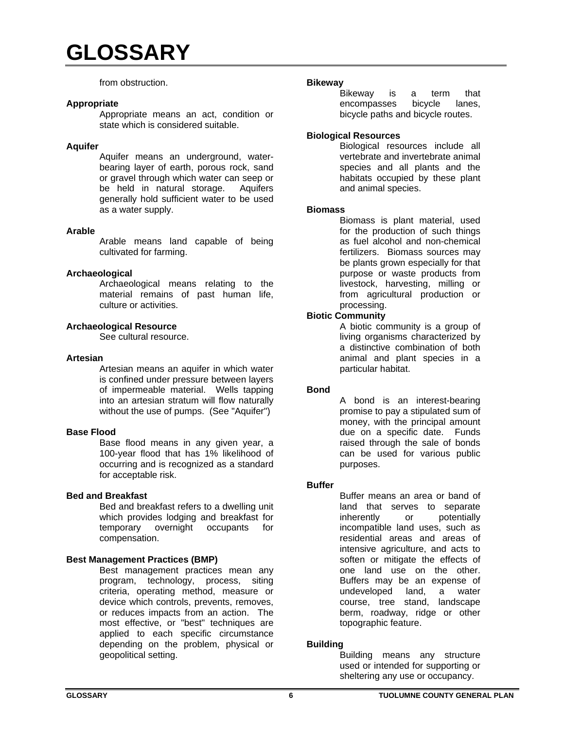## from obstruction.

## **Appropriate**

Appropriate means an act, condition or state which is considered suitable.

## **Aquifer**

Aquifer means an underground, waterbearing layer of earth, porous rock, sand or gravel through which water can seep or be held in natural storage. Aquifers generally hold sufficient water to be used as a water supply.

## **Arable**

Arable means land capable of being cultivated for farming.

## **Archaeological**

Archaeological means relating to the material remains of past human life, culture or activities.

## **Archaeological Resource**

See cultural resource.

#### **Artesian**

Artesian means an aquifer in which water is confined under pressure between layers of impermeable material. Wells tapping into an artesian stratum will flow naturally without the use of pumps. (See "Aquifer")

### **Base Flood**

Base flood means in any given year, a 100-year flood that has 1% likelihood of occurring and is recognized as a standard for acceptable risk.

#### **Bed and Breakfast**

Bed and breakfast refers to a dwelling unit which provides lodging and breakfast for temporary overnight occupants for compensation.

#### **Best Management Practices (BMP)**

Best management practices mean any program, technology, process, siting criteria, operating method, measure or device which controls, prevents, removes, or reduces impacts from an action. The most effective, or "best" techniques are applied to each specific circumstance depending on the problem, physical or geopolitical setting.

#### **Bikeway**

Bikeway is a term that encompasses bicycle lanes, bicycle paths and bicycle routes.

### **Biological Resources**

Biological resources include all vertebrate and invertebrate animal species and all plants and the habitats occupied by these plant and animal species.

#### **Biomass**

Biomass is plant material, used for the production of such things as fuel alcohol and non-chemical fertilizers. Biomass sources may be plants grown especially for that purpose or waste products from livestock, harvesting, milling or from agricultural production or processing.

# **Biotic Community**

A biotic community is a group of living organisms characterized by a distinctive combination of both animal and plant species in a particular habitat.

# **Bond**

A bond is an interest-bearing promise to pay a stipulated sum of money, with the principal amount due on a specific date. Funds raised through the sale of bonds can be used for various public purposes.

#### **Buffer**

Buffer means an area or band of land that serves to separate inherently or potentially incompatible land uses, such as residential areas and areas of intensive agriculture, and acts to soften or mitigate the effects of one land use on the other. Buffers may be an expense of undeveloped land, a water course, tree stand, landscape berm, roadway, ridge or other topographic feature.

# **Building**

Building means any structure used or intended for supporting or sheltering any use or occupancy.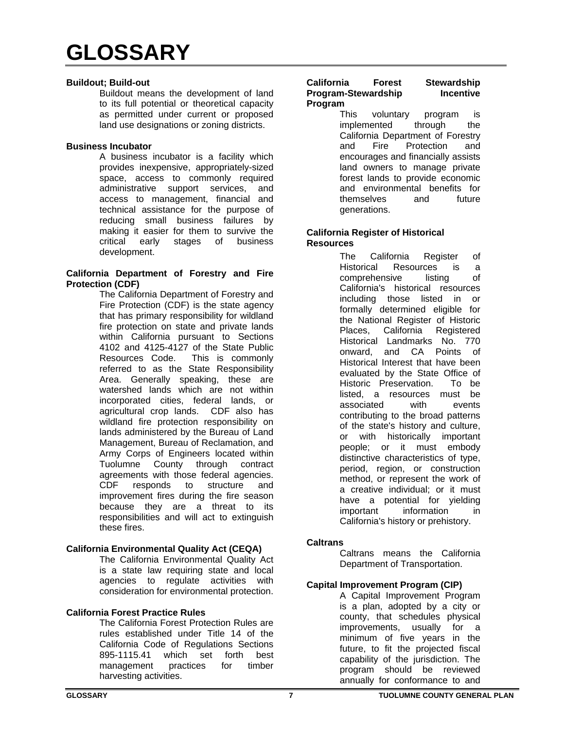## **Buildout; Build-out**

Buildout means the development of land to its full potential or theoretical capacity as permitted under current or proposed land use designations or zoning districts.

### **Business Incubator**

A business incubator is a facility which provides inexpensive, appropriately-sized space, access to commonly required administrative support services, and access to management, financial and technical assistance for the purpose of reducing small business failures by making it easier for them to survive the critical early stages of business development.

### **California Department of Forestry and Fire Protection (CDF)**

The California Department of Forestry and Fire Protection (CDF) is the state agency that has primary responsibility for wildland fire protection on state and private lands within California pursuant to Sections 4102 and 4125-4127 of the State Public Resources Code. This is commonly referred to as the State Responsibility Area. Generally speaking, these are watershed lands which are not within incorporated cities, federal lands, or agricultural crop lands. CDF also has wildland fire protection responsibility on lands administered by the Bureau of Land Management, Bureau of Reclamation, and Army Corps of Engineers located within Tuolumne County through contract agreements with those federal agencies. CDF responds to structure and improvement fires during the fire season because they are a threat to its responsibilities and will act to extinguish these fires.

# **California Environmental Quality Act (CEQA)**

The California Environmental Quality Act is a state law requiring state and local agencies to regulate activities with consideration for environmental protection.

#### **California Forest Practice Rules**

The California Forest Protection Rules are rules established under Title 14 of the California Code of Regulations Sections 895-1115.41 which set forth best management practices for timber harvesting activities.

### **California Forest Stewardship Program-Stewardship Incentive Program**

This voluntary program is<br>implemented through the implemented through the California Department of Forestry and Fire Protection and encourages and financially assists land owners to manage private forest lands to provide economic and environmental benefits for themselves and future generations.

### **California Register of Historical Resources**

 The California Register of Historical Resources is a comprehensive listing of California's historical resources including those listed in or formally determined eligible for the National Register of Historic Places, California Registered Historical Landmarks No. 770 onward, and CA Points of Historical Interest that have been evaluated by the State Office of Historic Preservation. To be listed, a resources must be associated with events contributing to the broad patterns of the state's history and culture, or with historically important people; or it must embody distinctive characteristics of type, period, region, or construction method, or represent the work of a creative individual; or it must have a potential for yielding important information in California's history or prehistory.

# **Caltrans**

Caltrans means the California Department of Transportation.

# **Capital Improvement Program (CIP)**

 A Capital Improvement Program is a plan, adopted by a city or county, that schedules physical improvements, usually for a minimum of five years in the future, to fit the projected fiscal capability of the jurisdiction. The program should be reviewed annually for conformance to and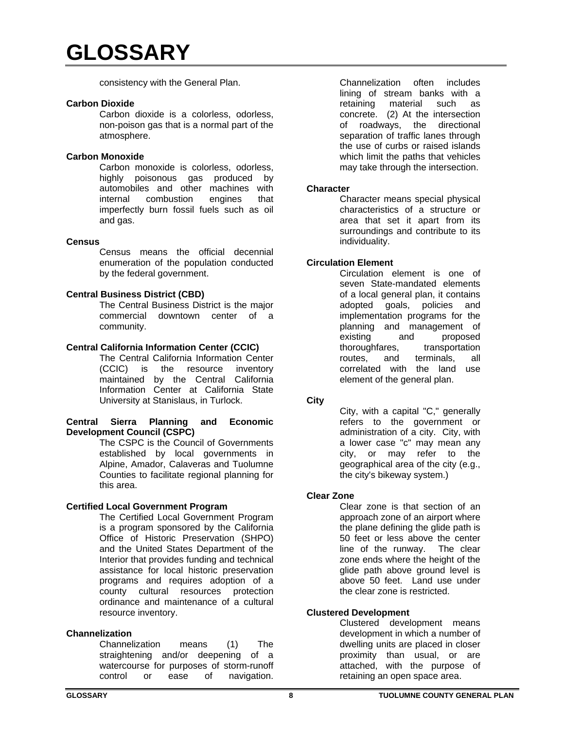consistency with the General Plan.

### **Carbon Dioxide**

Carbon dioxide is a colorless, odorless, non-poison gas that is a normal part of the atmosphere.

# **Carbon Monoxide**

Carbon monoxide is colorless, odorless, highly poisonous gas produced by automobiles and other machines with internal combustion engines that imperfectly burn fossil fuels such as oil and gas.

## **Census**

Census means the official decennial enumeration of the population conducted by the federal government.

# **Central Business District (CBD)**

The Central Business District is the major commercial downtown center of a community.

## **Central California Information Center (CCIC)**

The Central California Information Center (CCIC) is the resource inventory maintained by the Central California Information Center at California State University at Stanislaus, in Turlock.

#### **Central Sierra Planning and Economic Development Council (CSPC)**

The CSPC is the Council of Governments established by local governments in Alpine, Amador, Calaveras and Tuolumne Counties to facilitate regional planning for this area.

# **Certified Local Government Program**

The Certified Local Government Program is a program sponsored by the California Office of Historic Preservation (SHPO) and the United States Department of the Interior that provides funding and technical assistance for local historic preservation programs and requires adoption of a county cultural resources protection ordinance and maintenance of a cultural resource inventory.

## **Channelization**

Channelization means (1) The straightening and/or deepening of a watercourse for purposes of storm-runoff control or ease of navigation.

Channelization often includes lining of stream banks with a retaining material such as concrete. (2) At the intersection of roadways, the directional separation of traffic lanes through the use of curbs or raised islands which limit the paths that vehicles may take through the intersection.

#### **Character**

Character means special physical characteristics of a structure or area that set it apart from its surroundings and contribute to its individuality.

## **Circulation Element**

Circulation element is one of seven State-mandated elements of a local general plan, it contains adopted goals, policies and implementation programs for the planning and management of existing and proposed thoroughfares, transportation routes, and terminals, all correlated with the land use element of the general plan.

**City**

City, with a capital "C," generally refers to the government or administration of a city. City, with a lower case "c" may mean any city, or may refer to the geographical area of the city (e.g., the city's bikeway system.)

#### **Clear Zone**

Clear zone is that section of an approach zone of an airport where the plane defining the glide path is 50 feet or less above the center line of the runway. The clear zone ends where the height of the glide path above ground level is above 50 feet. Land use under the clear zone is restricted.

# **Clustered Development**

Clustered development means development in which a number of dwelling units are placed in closer proximity than usual, or are attached, with the purpose of retaining an open space area.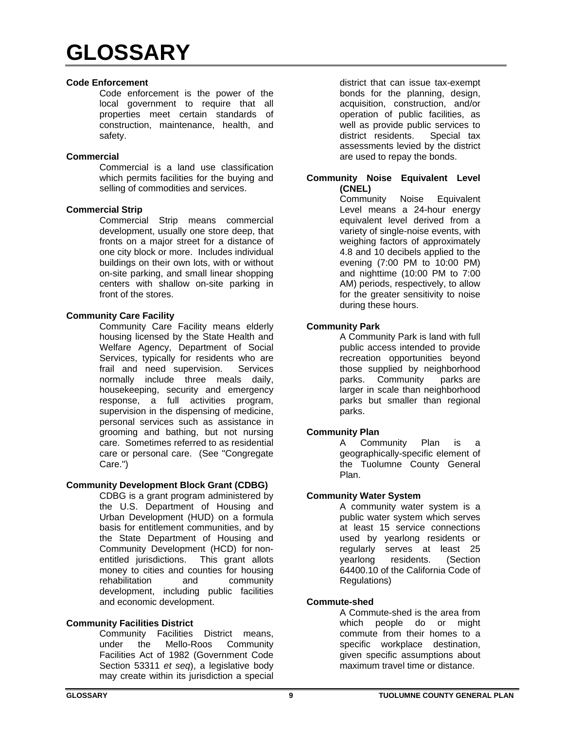## **Code Enforcement**

Code enforcement is the power of the local government to require that all properties meet certain standards of construction, maintenance, health, and safety.

## **Commercial**

Commercial is a land use classification which permits facilities for the buying and selling of commodities and services.

# **Commercial Strip**

Commercial Strip means commercial development, usually one store deep, that fronts on a major street for a distance of one city block or more. Includes individual buildings on their own lots, with or without on-site parking, and small linear shopping centers with shallow on-site parking in front of the stores.

## **Community Care Facility**

Community Care Facility means elderly housing licensed by the State Health and Welfare Agency, Department of Social Services, typically for residents who are frail and need supervision. Services normally include three meals daily, housekeeping, security and emergency response, a full activities program, supervision in the dispensing of medicine, personal services such as assistance in grooming and bathing, but not nursing care. Sometimes referred to as residential care or personal care. (See "Congregate Care.")

# **Community Development Block Grant (CDBG)**

CDBG is a grant program administered by the U.S. Department of Housing and Urban Development (HUD) on a formula basis for entitlement communities, and by the State Department of Housing and Community Development (HCD) for nonentitled jurisdictions. This grant allots money to cities and counties for housing rehabilitation and community development, including public facilities and economic development.

# **Community Facilities District**

Community Facilities District means, under the Mello-Roos Community Facilities Act of 1982 (Government Code Section 53311 *et seq*), a legislative body may create within its jurisdiction a special

district that can issue tax-exempt bonds for the planning, design, acquisition, construction, and/or operation of public facilities, as well as provide public services to district residents. Special tax assessments levied by the district are used to repay the bonds.

#### **Community Noise Equivalent Level (CNEL)**

 Community Noise Equivalent Level means a 24-hour energy equivalent level derived from a variety of single-noise events, with weighing factors of approximately 4.8 and 10 decibels applied to the evening (7:00 PM to 10:00 PM) and nighttime (10:00 PM to 7:00 AM) periods, respectively, to allow for the greater sensitivity to noise during these hours.

# **Community Park**

A Community Park is land with full public access intended to provide recreation opportunities beyond those supplied by neighborhood parks. Community parks are larger in scale than neighborhood parks but smaller than regional parks.

# **Community Plan**

A Community Plan is a geographically-specific element of the Tuolumne County General Plan.

# **Community Water System**

A community water system is a public water system which serves at least 15 service connections used by yearlong residents or regularly serves at least 25 yearlong residents. (Section 64400.10 of the California Code of Regulations)

# **Commute-shed**

A Commute-shed is the area from which people do or might commute from their homes to a specific workplace destination, given specific assumptions about maximum travel time or distance.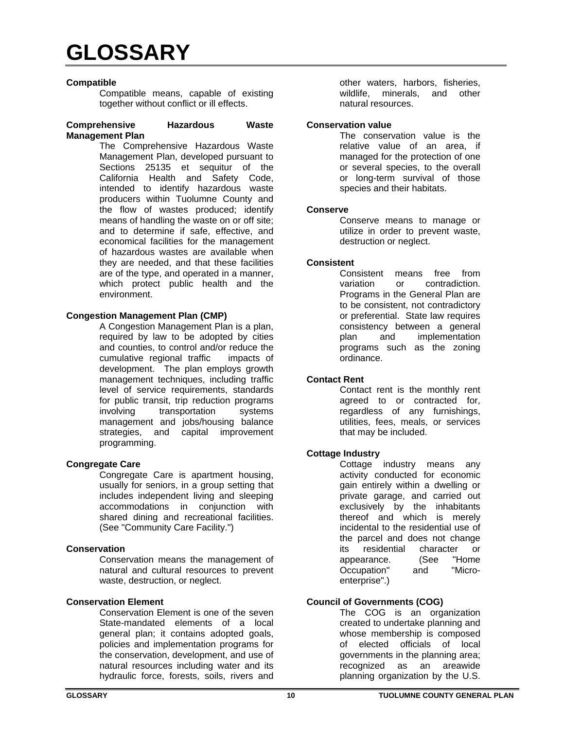# **Compatible**

Compatible means, capable of existing together without conflict or ill effects.

#### **Comprehensive Hazardous Waste Management Plan**

The Comprehensive Hazardous Waste Management Plan, developed pursuant to Sections 25135 et sequitur of the California Health and Safety Code, intended to identify hazardous waste producers within Tuolumne County and the flow of wastes produced; identify means of handling the waste on or off site; and to determine if safe, effective, and economical facilities for the management of hazardous wastes are available when they are needed, and that these facilities are of the type, and operated in a manner, which protect public health and the environment.

## **Congestion Management Plan (CMP)**

A Congestion Management Plan is a plan, required by law to be adopted by cities and counties, to control and/or reduce the cumulative regional traffic impacts of development. The plan employs growth management techniques, including traffic level of service requirements, standards for public transit, trip reduction programs involving transportation systems management and jobs/housing balance strategies, and capital improvement programming.

# **Congregate Care**

Congregate Care is apartment housing, usually for seniors, in a group setting that includes independent living and sleeping accommodations in conjunction with shared dining and recreational facilities. (See "Community Care Facility.")

### **Conservation**

Conservation means the management of natural and cultural resources to prevent waste, destruction, or neglect.

### **Conservation Element**

Conservation Element is one of the seven State-mandated elements of a local general plan; it contains adopted goals, policies and implementation programs for the conservation, development, and use of natural resources including water and its hydraulic force, forests, soils, rivers and

other waters, harbors, fisheries, wildlife, minerals, and other natural resources.

## **Conservation value**

The conservation value is the relative value of an area, if managed for the protection of one or several species, to the overall or long-term survival of those species and their habitats.

#### **Conserve**

Conserve means to manage or utilize in order to prevent waste, destruction or neglect.

#### **Consistent**

Consistent means free from variation or contradiction. Programs in the General Plan are to be consistent, not contradictory or preferential. State law requires consistency between a general plan and implementation programs such as the zoning ordinance.

#### **Contact Rent**

Contact rent is the monthly rent agreed to or contracted for, regardless of any furnishings, utilities, fees, meals, or services that may be included.

#### **Cottage Industry**

Cottage industry means any activity conducted for economic gain entirely within a dwelling or private garage, and carried out exclusively by the inhabitants thereof and which is merely incidental to the residential use of the parcel and does not change its residential character or appearance. (See "Home Occupation" and "Microenterprise".)

# **Council of Governments (COG)**

The COG is an organization created to undertake planning and whose membership is composed of elected officials of local governments in the planning area; recognized as an areawide planning organization by the U.S.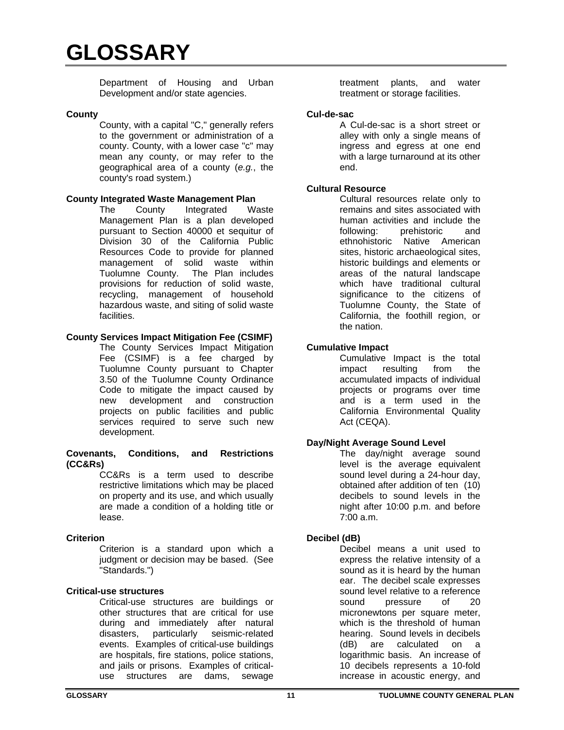Department of Housing and Urban Development and/or state agencies.

## **County**

County, with a capital "C," generally refers to the government or administration of a county. County, with a lower case "c" may mean any county, or may refer to the geographical area of a county (*e.g.*, the county's road system.)

## **County Integrated Waste Management Plan**

The County Integrated Waste Management Plan is a plan developed pursuant to Section 40000 et sequitur of Division 30 of the California Public Resources Code to provide for planned management of solid waste within Tuolumne County. The Plan includes provisions for reduction of solid waste, recycling, management of household hazardous waste, and siting of solid waste facilities.

## **County Services Impact Mitigation Fee (CSIMF)**

The County Services Impact Mitigation Fee (CSIMF) is a fee charged by Tuolumne County pursuant to Chapter 3.50 of the Tuolumne County Ordinance Code to mitigate the impact caused by new development and construction projects on public facilities and public services required to serve such new development.

#### **Covenants, Conditions, and Restrictions (CC&Rs)**

CC&Rs is a term used to describe restrictive limitations which may be placed on property and its use, and which usually are made a condition of a holding title or lease.

# **Criterion**

Criterion is a standard upon which a judgment or decision may be based. (See "Standards.")

# **Critical-use structures**

Critical-use structures are buildings or other structures that are critical for use during and immediately after natural disasters, particularly seismic-related events. Examples of critical-use buildings are hospitals, fire stations, police stations, and jails or prisons. Examples of criticaluse structures are dams, sewage

treatment plants, and water treatment or storage facilities.

### **Cul-de-sac**

A Cul-de-sac is a short street or alley with only a single means of ingress and egress at one end with a large turnaround at its other end.

# **Cultural Resource**

Cultural resources relate only to remains and sites associated with human activities and include the following: prehistoric and ethnohistoric Native American sites, historic archaeological sites, historic buildings and elements or areas of the natural landscape which have traditional cultural significance to the citizens of Tuolumne County, the State of California, the foothill region, or the nation.

## **Cumulative Impact**

Cumulative Impact is the total impact resulting from the accumulated impacts of individual projects or programs over time and is a term used in the California Environmental Quality Act (CEQA).

# **Day/Night Average Sound Level**

The day/night average sound level is the average equivalent sound level during a 24-hour day, obtained after addition of ten (10) decibels to sound levels in the night after 10:00 p.m. and before 7:00 a.m.

# **Decibel (dB)**

Decibel means a unit used to express the relative intensity of a sound as it is heard by the human ear. The decibel scale expresses sound level relative to a reference sound pressure of 20 micronewtons per square meter, which is the threshold of human hearing. Sound levels in decibels (dB) are calculated on a logarithmic basis. An increase of 10 decibels represents a 10-fold increase in acoustic energy, and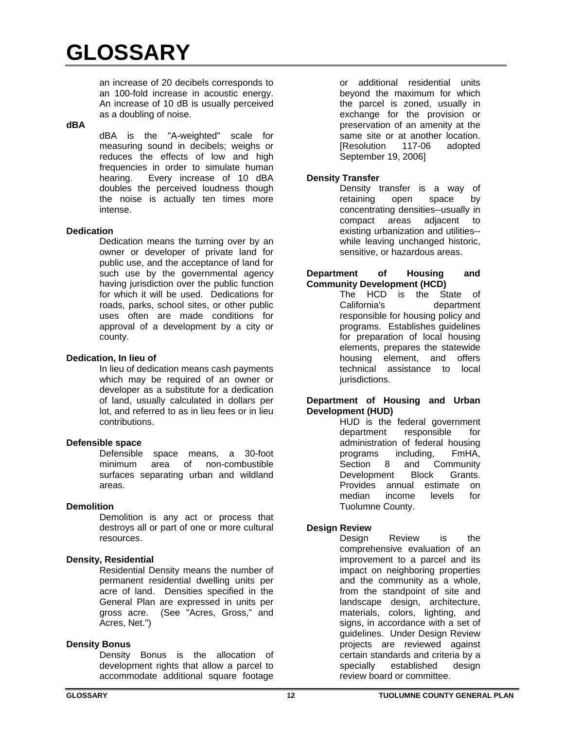an increase of 20 decibels corresponds to an 100-fold increase in acoustic energy. An increase of 10 dB is usually perceived as a doubling of noise.

### **dBA**

dBA is the "A-weighted" scale for measuring sound in decibels; weighs or reduces the effects of low and high frequencies in order to simulate human hearing. Every increase of 10 dBA doubles the perceived loudness though the noise is actually ten times more intense.

# **Dedication**

Dedication means the turning over by an owner or developer of private land for public use, and the acceptance of land for such use by the governmental agency having jurisdiction over the public function for which it will be used. Dedications for roads, parks, school sites, or other public uses often are made conditions for approval of a development by a city or county.

# **Dedication, In lieu of**

In lieu of dedication means cash payments which may be required of an owner or developer as a substitute for a dedication of land, usually calculated in dollars per lot, and referred to as in lieu fees or in lieu contributions.

# **Defensible space**

Defensible space means, a 30-foot minimum area of non-combustible surfaces separating urban and wildland areas.

# **Demolition**

Demolition is any act or process that destroys all or part of one or more cultural resources.

# **Density, Residential**

Residential Density means the number of permanent residential dwelling units per acre of land. Densities specified in the General Plan are expressed in units per gross acre. (See "Acres, Gross," and Acres, Net.")

# **Density Bonus**

Density Bonus is the allocation of development rights that allow a parcel to accommodate additional square footage

or additional residential units beyond the maximum for which the parcel is zoned, usually in exchange for the provision or preservation of an amenity at the same site or at another location. [Resolution 117-06 adopted September 19, 2006]

# **Density Transfer**

Density transfer is a way of retaining open space by concentrating densities--usually in compact areas adjacent to existing urbanization and utilities- while leaving unchanged historic, sensitive, or hazardous areas.

#### **Department of Housing and Community Development (HCD)**

The HCD is the State of California's department responsible for housing policy and programs. Establishes guidelines for preparation of local housing elements, prepares the statewide housing element, and offers technical assistance to local jurisdictions.

### **Department of Housing and Urban Development (HUD)**

HUD is the federal government department responsible for administration of federal housing programs including, FmHA, Section 8 and Community Development Block Grants. Provides annual estimate on median income levels for Tuolumne County.

# **Design Review**

Design Review is the comprehensive evaluation of an improvement to a parcel and its impact on neighboring properties and the community as a whole, from the standpoint of site and landscape design, architecture, materials, colors, lighting, and signs, in accordance with a set of guidelines. Under Design Review projects are reviewed against certain standards and criteria by a specially established design review board or committee.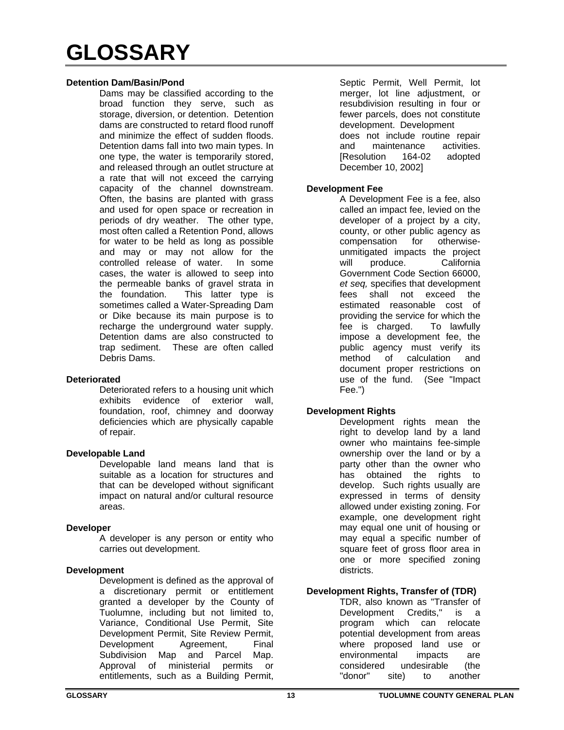# **Detention Dam/Basin/Pond**

Dams may be classified according to the broad function they serve, such as storage, diversion, or detention. Detention dams are constructed to retard flood runoff and minimize the effect of sudden floods. Detention dams fall into two main types. In one type, the water is temporarily stored, and released through an outlet structure at a rate that will not exceed the carrying capacity of the channel downstream. Often, the basins are planted with grass and used for open space or recreation in periods of dry weather. The other type, most often called a Retention Pond, allows for water to be held as long as possible and may or may not allow for the controlled release of water. In some cases, the water is allowed to seep into the permeable banks of gravel strata in the foundation. This latter type is sometimes called a Water-Spreading Dam or Dike because its main purpose is to recharge the underground water supply. Detention dams are also constructed to trap sediment. These are often called Debris Dams.

# **Deteriorated**

Deteriorated refers to a housing unit which exhibits evidence of exterior wall, foundation, roof, chimney and doorway deficiencies which are physically capable of repair.

# **Developable Land**

Developable land means land that is suitable as a location for structures and that can be developed without significant impact on natural and/or cultural resource areas.

# **Developer**

A developer is any person or entity who carries out development.

# **Development**

Development is defined as the approval of a discretionary permit or entitlement granted a developer by the County of Tuolumne, including but not limited to, Variance, Conditional Use Permit, Site Development Permit, Site Review Permit, Development Agreement, Final Subdivision Map and Parcel Map. Approval of ministerial permits or entitlements, such as a Building Permit,

Septic Permit, Well Permit, lot merger, lot line adjustment, or resubdivision resulting in four or fewer parcels, does not constitute development. Development does not include routine repair and maintenance activities. [Resolution 164-02 adopted December 10, 2002]

# **Development Fee**

A Development Fee is a fee, also called an impact fee, levied on the developer of a project by a city, county, or other public agency as compensation for otherwiseunmitigated impacts the project will produce. California Government Code Section 66000, *et seq,* specifies that development fees shall not exceed the estimated reasonable cost of providing the service for which the fee is charged. To lawfully impose a development fee, the public agency must verify its method of calculation and document proper restrictions on use of the fund. (See "Impact Fee.")

# **Development Rights**

Development rights mean the right to develop land by a land owner who maintains fee-simple ownership over the land or by a party other than the owner who has obtained the rights to develop. Such rights usually are expressed in terms of density allowed under existing zoning. For example, one development right may equal one unit of housing or may equal a specific number of square feet of gross floor area in one or more specified zoning districts.

# **Development Rights, Transfer of (TDR)**

TDR, also known as "Transfer of Development Credits," is a program which can relocate potential development from areas where proposed land use or environmental impacts are considered undesirable (the "donor" site) to another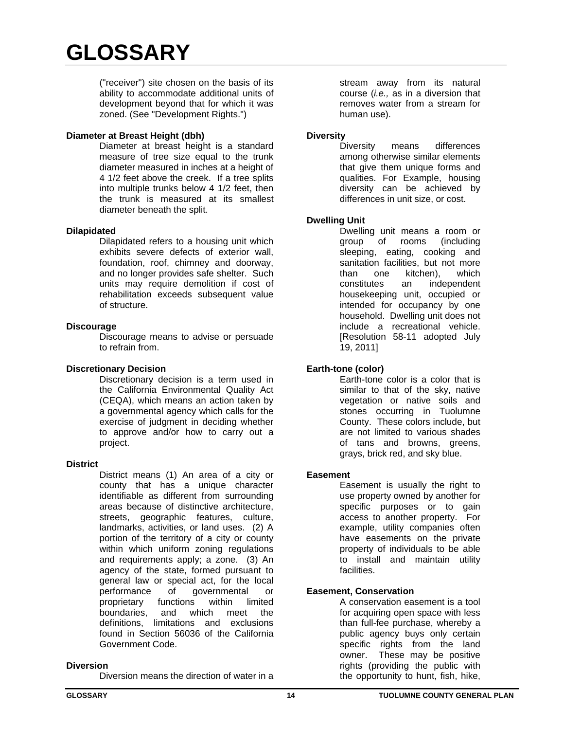("receiver") site chosen on the basis of its ability to accommodate additional units of development beyond that for which it was zoned. (See "Development Rights.")

# **Diameter at Breast Height (dbh)**

Diameter at breast height is a standard measure of tree size equal to the trunk diameter measured in inches at a height of 4 1/2 feet above the creek. If a tree splits into multiple trunks below 4 1/2 feet, then the trunk is measured at its smallest diameter beneath the split.

# **Dilapidated**

Dilapidated refers to a housing unit which exhibits severe defects of exterior wall, foundation, roof, chimney and doorway, and no longer provides safe shelter. Such units may require demolition if cost of rehabilitation exceeds subsequent value of structure.

# **Discourage**

Discourage means to advise or persuade to refrain from.

## **Discretionary Decision**

Discretionary decision is a term used in the California Environmental Quality Act (CEQA), which means an action taken by a governmental agency which calls for the exercise of judgment in deciding whether to approve and/or how to carry out a project.

# **District**

District means (1) An area of a city or county that has a unique character identifiable as different from surrounding areas because of distinctive architecture, streets, geographic features, culture, landmarks, activities, or land uses. (2) A portion of the territory of a city or county within which uniform zoning regulations and requirements apply; a zone. (3) An agency of the state, formed pursuant to general law or special act, for the local performance of governmental or proprietary functions within limited boundaries, and which meet the definitions, limitations and exclusions found in Section 56036 of the California Government Code.

#### **Diversion**

Diversion means the direction of water in a

stream away from its natural course (*i.e.,* as in a diversion that removes water from a stream for human use).

## **Diversity**

Diversity means differences among otherwise similar elements that give them unique forms and qualities. For Example, housing diversity can be achieved by differences in unit size, or cost.

# **Dwelling Unit**

Dwelling unit means a room or group of rooms (including sleeping, eating, cooking and sanitation facilities, but not more than one kitchen), which constitutes an independent housekeeping unit, occupied or intended for occupancy by one household. Dwelling unit does not include a recreational vehicle. [Resolution 58-11 adopted July 19, 2011]

# **Earth-tone (color)**

Earth-tone color is a color that is similar to that of the sky, native vegetation or native soils and stones occurring in Tuolumne County. These colors include, but are not limited to various shades of tans and browns, greens, grays, brick red, and sky blue.

# **Easement**

Easement is usually the right to use property owned by another for specific purposes or to gain access to another property. For example, utility companies often have easements on the private property of individuals to be able to install and maintain utility facilities.

# **Easement, Conservation**

A conservation easement is a tool for acquiring open space with less than full-fee purchase, whereby a public agency buys only certain specific rights from the land owner. These may be positive rights (providing the public with the opportunity to hunt, fish, hike,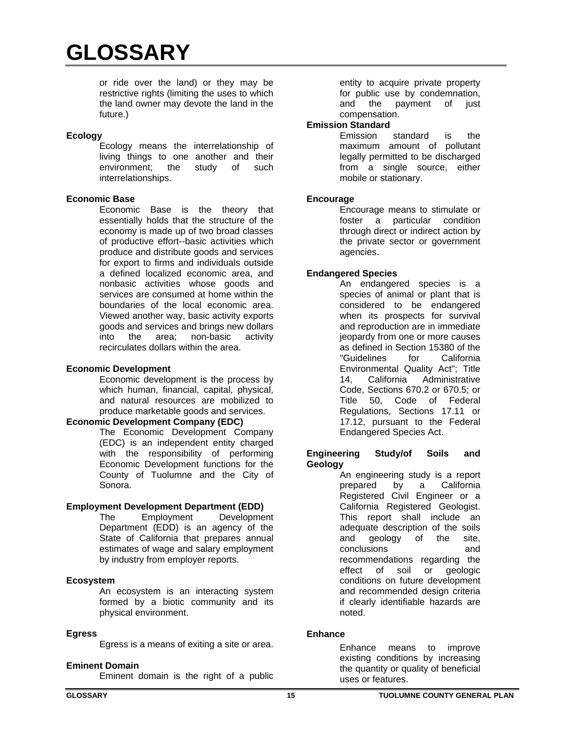or ride over the land) or they may be restrictive rights (limiting the uses to which the land owner may devote the land in the future.)

## **Ecology**

Ecology means the interrelationship of living things to one another and their environment; the study of such interrelationships.

## **Economic Base**

Economic Base is the theory that essentially holds that the structure of the economy is made up of two broad classes of productive effort--basic activities which produce and distribute goods and services for export to firms and individuals outside a defined localized economic area, and nonbasic activities whose goods and services are consumed at home within the boundaries of the local economic area. Viewed another way, basic activity exports goods and services and brings new dollars into the area; non-basic activity recirculates dollars within the area.

### **Economic Development**

Economic development is the process by which human, financial, capital, physical, and natural resources are mobilized to produce marketable goods and services.

# **Economic Development Company (EDC)**

The Economic Development Company (EDC) is an independent entity charged with the responsibility of performing Economic Development functions for the County of Tuolumne and the City of Sonora.

# **Employment Development Department (EDD)**

The Employment Development Department (EDD) is an agency of the State of California that prepares annual estimates of wage and salary employment by industry from employer reports.

#### **Ecosystem**

An ecosystem is an interacting system formed by a biotic community and its physical environment.

# **Egress**

Egress is a means of exiting a site or area.

#### **Eminent Domain**

Eminent domain is the right of a public

#### **Emission Standard**

Emission standard is the maximum amount of pollutant legally permitted to be discharged from a single source, either mobile or stationary.

## **Encourage**

Encourage means to stimulate or foster a particular condition through direct or indirect action by the private sector or government agencies.

# **Endangered Species**

An endangered species is a species of animal or plant that is considered to be endangered when its prospects for survival and reproduction are in immediate jeopardy from one or more causes as defined in Section 15380 of the "Guidelines for California Environmental Quality Act"; Title 14, California Administrative Code, Sections 670.2 or 670.5; or Title 50, Code of Federal Regulations, Sections 17.11 or 17.12, pursuant to the Federal Endangered Species Act.

#### **Engineering Study/of Soils and Geology**

An engineering study is a report prepared by a California Registered Civil Engineer or a California Registered Geologist. This report shall include an adequate description of the soils and geology of the site, conclusions and recommendations regarding the effect of soil or geologic conditions on future development and recommended design criteria if clearly identifiable hazards are noted.

# **Enhance**

Enhance means to improve existing conditions by increasing the quantity or quality of beneficial uses or features.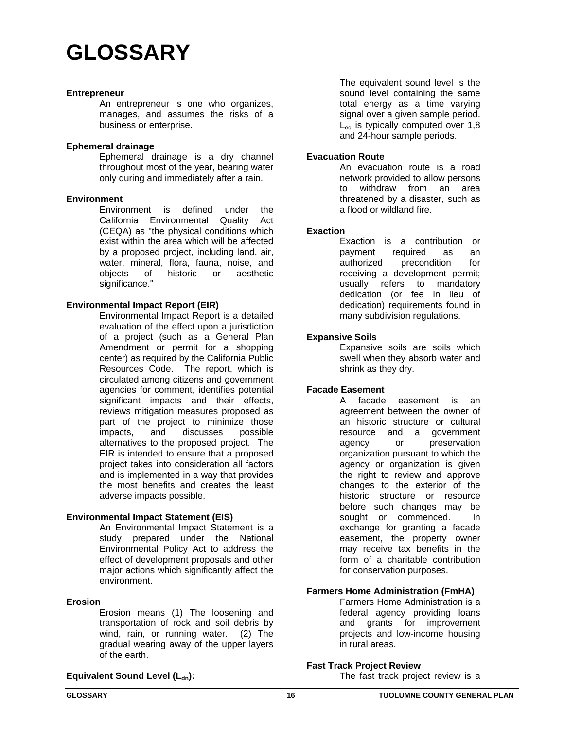#### **Entrepreneur**

An entrepreneur is one who organizes, manages, and assumes the risks of a business or enterprise.

#### **Ephemeral drainage**

Ephemeral drainage is a dry channel throughout most of the year, bearing water only during and immediately after a rain.

#### **Environment**

Environment is defined under the California Environmental Quality Act (CEQA) as "the physical conditions which exist within the area which will be affected by a proposed project, including land, air, water, mineral, flora, fauna, noise, and objects of historic or aesthetic significance."

#### **Environmental Impact Report (EIR)**

Environmental Impact Report is a detailed evaluation of the effect upon a jurisdiction of a project (such as a General Plan Amendment or permit for a shopping center) as required by the California Public Resources Code. The report, which is circulated among citizens and government agencies for comment, identifies potential significant impacts and their effects, reviews mitigation measures proposed as part of the project to minimize those<br>impacts, and discusses possible impacts, and discusses possible alternatives to the proposed project. The EIR is intended to ensure that a proposed project takes into consideration all factors and is implemented in a way that provides the most benefits and creates the least adverse impacts possible.

#### **Environmental Impact Statement (EIS)**

An Environmental Impact Statement is a study prepared under the National Environmental Policy Act to address the effect of development proposals and other major actions which significantly affect the environment.

#### **Erosion**

Erosion means (1) The loosening and transportation of rock and soil debris by wind, rain, or running water. (2) The gradual wearing away of the upper layers of the earth.

The equivalent sound level is the sound level containing the same total energy as a time varying signal over a given sample period.  $L_{eq}$  is typically computed over 1,8 and 24-hour sample periods.

## **Evacuation Route**

An evacuation route is a road network provided to allow persons to withdraw from an area threatened by a disaster, such as a flood or wildland fire.

#### **Exaction**

Exaction is a contribution or payment required as an authorized precondition for receiving a development permit; usually refers to mandatory dedication (or fee in lieu of dedication) requirements found in many subdivision regulations.

## **Expansive Soils**

Expansive soils are soils which swell when they absorb water and shrink as they dry.

## **Facade Easement**

A facade easement is an agreement between the owner of an historic structure or cultural resource and a government agency or preservation organization pursuant to which the agency or organization is given the right to review and approve changes to the exterior of the historic structure or resource before such changes may be sought or commenced. In exchange for granting a facade easement, the property owner may receive tax benefits in the form of a charitable contribution for conservation purposes.

# **Farmers Home Administration (FmHA)**

Farmers Home Administration is a federal agency providing loans and grants for improvement projects and low-income housing in rural areas.

#### **Fast Track Project Review**

The fast track project review is a

# **Equivalent Sound Level (L<sub>dn</sub>):**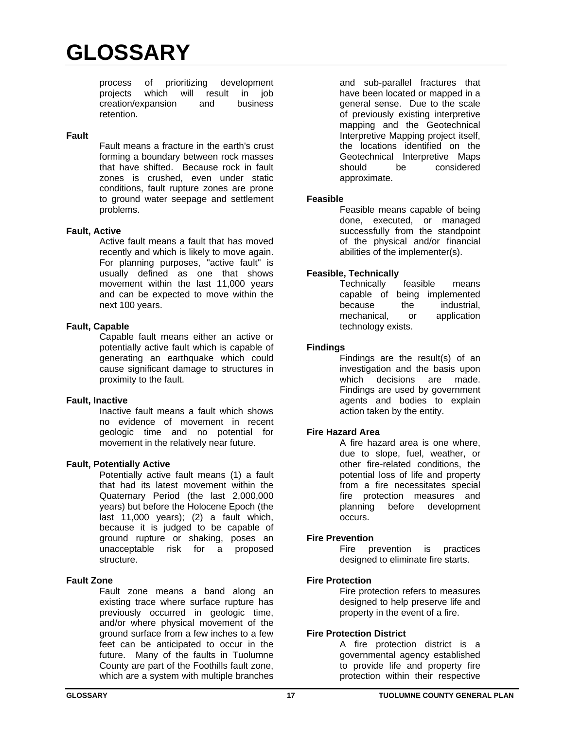process of prioritizing development projects which will result in job creation/expansion and business retention.

## **Fault**

Fault means a fracture in the earth's crust forming a boundary between rock masses that have shifted. Because rock in fault zones is crushed, even under static conditions, fault rupture zones are prone to ground water seepage and settlement problems.

## **Fault, Active**

Active fault means a fault that has moved recently and which is likely to move again. For planning purposes, "active fault" is usually defined as one that shows movement within the last 11,000 years and can be expected to move within the next 100 years.

# **Fault, Capable**

Capable fault means either an active or potentially active fault which is capable of generating an earthquake which could cause significant damage to structures in proximity to the fault.

### **Fault, Inactive**

Inactive fault means a fault which shows no evidence of movement in recent geologic time and no potential for movement in the relatively near future.

# **Fault, Potentially Active**

Potentially active fault means (1) a fault that had its latest movement within the Quaternary Period (the last 2,000,000 years) but before the Holocene Epoch (the last 11,000 years); (2) a fault which, because it is judged to be capable of ground rupture or shaking, poses an unacceptable risk for a proposed structure.

#### **Fault Zone**

Fault zone means a band along an existing trace where surface rupture has previously occurred in geologic time, and/or where physical movement of the ground surface from a few inches to a few feet can be anticipated to occur in the future. Many of the faults in Tuolumne County are part of the Foothills fault zone, which are a system with multiple branches

and sub-parallel fractures that have been located or mapped in a general sense. Due to the scale of previously existing interpretive mapping and the Geotechnical Interpretive Mapping project itself, the locations identified on the Geotechnical Interpretive Maps should be considered approximate.

#### **Feasible**

Feasible means capable of being done, executed, or managed successfully from the standpoint of the physical and/or financial abilities of the implementer(s).

# **Feasible, Technically**

Technically feasible means capable of being implemented because the industrial, mechanical, or application technology exists.

## **Findings**

Findings are the result(s) of an investigation and the basis upon which decisions are made. Findings are used by government agents and bodies to explain action taken by the entity.

# **Fire Hazard Area**

A fire hazard area is one where, due to slope, fuel, weather, or other fire-related conditions, the potential loss of life and property from a fire necessitates special fire protection measures and planning before development occurs.

#### **Fire Prevention**

Fire prevention is practices designed to eliminate fire starts.

# **Fire Protection**

Fire protection refers to measures designed to help preserve life and property in the event of a fire.

# **Fire Protection District**

A fire protection district is a governmental agency established to provide life and property fire protection within their respective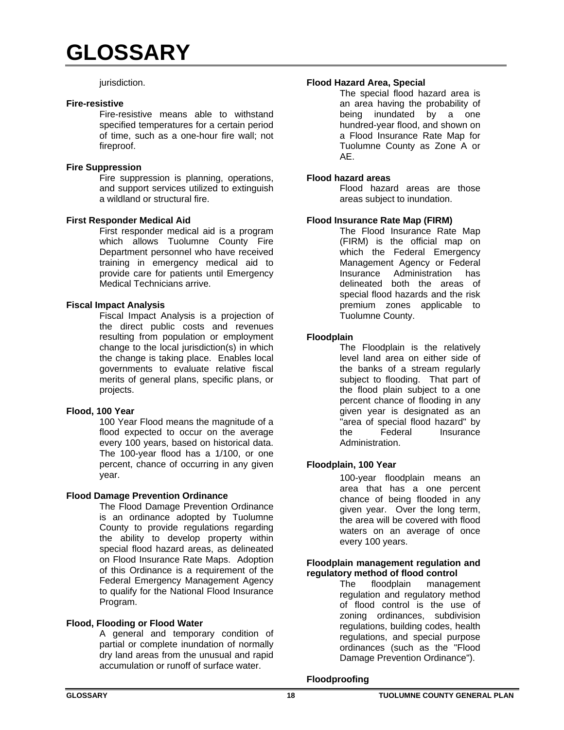## jurisdiction.

### **Fire-resistive**

Fire-resistive means able to withstand specified temperatures for a certain period of time, such as a one-hour fire wall; not fireproof.

## **Fire Suppression**

Fire suppression is planning, operations, and support services utilized to extinguish a wildland or structural fire.

# **First Responder Medical Aid**

First responder medical aid is a program which allows Tuolumne County Fire Department personnel who have received training in emergency medical aid to provide care for patients until Emergency Medical Technicians arrive.

## **Fiscal Impact Analysis**

Fiscal Impact Analysis is a projection of the direct public costs and revenues resulting from population or employment change to the local jurisdiction(s) in which the change is taking place. Enables local governments to evaluate relative fiscal merits of general plans, specific plans, or projects.

# **Flood, 100 Year**

100 Year Flood means the magnitude of a flood expected to occur on the average every 100 years, based on historical data. The 100-year flood has a 1/100, or one percent, chance of occurring in any given year.

# **Flood Damage Prevention Ordinance**

The Flood Damage Prevention Ordinance is an ordinance adopted by Tuolumne County to provide regulations regarding the ability to develop property within special flood hazard areas, as delineated on Flood Insurance Rate Maps. Adoption of this Ordinance is a requirement of the Federal Emergency Management Agency to qualify for the National Flood Insurance Program.

# **Flood, Flooding or Flood Water**

A general and temporary condition of partial or complete inundation of normally dry land areas from the unusual and rapid accumulation or runoff of surface water.

# **Flood Hazard Area, Special**

The special flood hazard area is an area having the probability of being inundated by a one hundred-year flood, and shown on a Flood Insurance Rate Map for Tuolumne County as Zone A or AE.

## **Flood hazard areas**

Flood hazard areas are those areas subject to inundation.

## **Flood Insurance Rate Map (FIRM)**

The Flood Insurance Rate Map (FIRM) is the official map on which the Federal Emergency Management Agency or Federal Insurance Administration has delineated both the areas of special flood hazards and the risk premium zones applicable to Tuolumne County.

# **Floodplain**

The Floodplain is the relatively level land area on either side of the banks of a stream regularly subject to flooding. That part of the flood plain subject to a one percent chance of flooding in any given year is designated as an "area of special flood hazard" by<br>the Federal Insurance the Federal Insurance Administration.

# **Floodplain, 100 Year**

100-year floodplain means an area that has a one percent chance of being flooded in any given year. Over the long term, the area will be covered with flood waters on an average of once every 100 years.

#### **Floodplain management regulation and regulatory method of flood control**

The floodplain management regulation and regulatory method of flood control is the use of zoning ordinances, subdivision regulations, building codes, health regulations, and special purpose ordinances (such as the "Flood Damage Prevention Ordinance").

# **Floodproofing**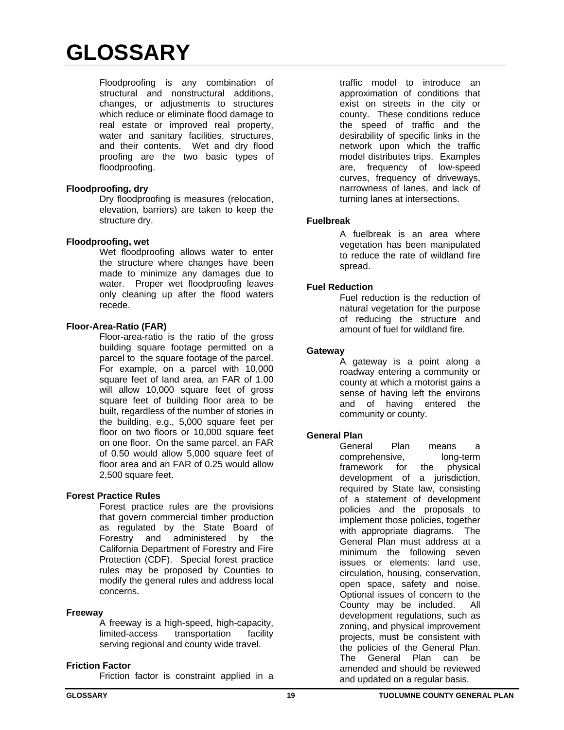Floodproofing is any combination of structural and nonstructural additions, changes, or adjustments to structures which reduce or eliminate flood damage to real estate or improved real property, water and sanitary facilities, structures, and their contents. Wet and dry flood proofing are the two basic types of floodproofing.

# **Floodproofing, dry**

Dry floodproofing is measures (relocation, elevation, barriers) are taken to keep the structure dry.

## **Floodproofing, wet**

Wet floodproofing allows water to enter the structure where changes have been made to minimize any damages due to water. Proper wet floodproofing leaves only cleaning up after the flood waters recede.

## **Floor-Area-Ratio (FAR)**

Floor-area-ratio is the ratio of the gross building square footage permitted on a parcel to the square footage of the parcel. For example, on a parcel with 10,000 square feet of land area, an FAR of 1.00 will allow 10,000 square feet of gross square feet of building floor area to be built, regardless of the number of stories in the building, e.g., 5,000 square feet per floor on two floors or 10,000 square feet on one floor. On the same parcel, an FAR of 0.50 would allow 5,000 square feet of floor area and an FAR of 0.25 would allow 2,500 square feet.

# **Forest Practice Rules**

Forest practice rules are the provisions that govern commercial timber production as regulated by the State Board of Forestry and administered by the California Department of Forestry and Fire Protection (CDF). Special forest practice rules may be proposed by Counties to modify the general rules and address local concerns.

#### **Freeway**

A freeway is a high-speed, high-capacity, limited-access transportation facility serving regional and county wide travel.

#### **Friction Factor**

Friction factor is constraint applied in a

traffic model to introduce an approximation of conditions that exist on streets in the city or county. These conditions reduce the speed of traffic and the desirability of specific links in the network upon which the traffic model distributes trips. Examples are, frequency of low-speed curves, frequency of driveways, narrowness of lanes, and lack of turning lanes at intersections.

## **Fuelbreak**

A fuelbreak is an area where vegetation has been manipulated to reduce the rate of wildland fire spread.

## **Fuel Reduction**

Fuel reduction is the reduction of natural vegetation for the purpose of reducing the structure and amount of fuel for wildland fire.

## **Gateway**

A gateway is a point along a roadway entering a community or county at which a motorist gains a sense of having left the environs and of having entered the community or county.

# **General Plan**

General Plan means a comprehensive, long-term framework for the physical development of a jurisdiction, required by State law, consisting of a statement of development policies and the proposals to implement those policies, together with appropriate diagrams. The General Plan must address at a minimum the following seven issues or elements: land use, circulation, housing, conservation, open space, safety and noise. Optional issues of concern to the County may be included. All development regulations, such as zoning, and physical improvement projects, must be consistent with the policies of the General Plan. The General Plan can be amended and should be reviewed and updated on a regular basis.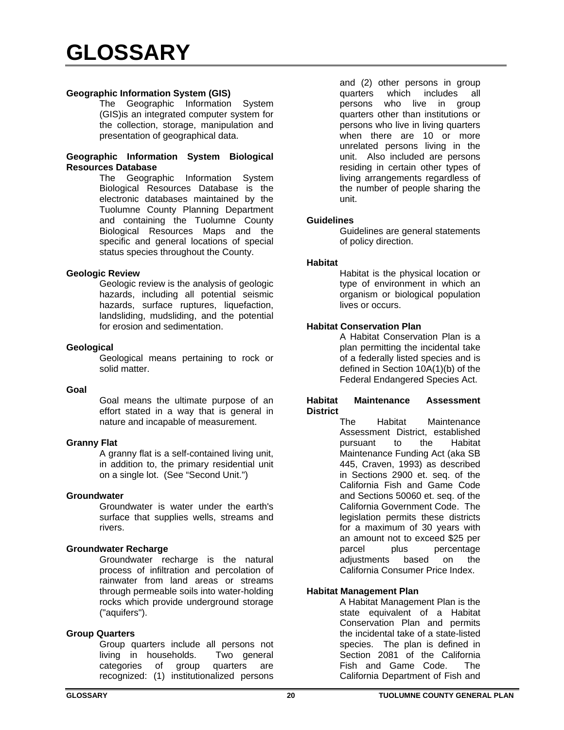## **Geographic Information System (GIS)**

The Geographic Information System (GIS)is an integrated computer system for the collection, storage, manipulation and presentation of geographical data.

## **Geographic Information System Biological Resources Database**

The Geographic Information System Biological Resources Database is the electronic databases maintained by the Tuolumne County Planning Department and containing the Tuolumne County Biological Resources Maps and the specific and general locations of special status species throughout the County.

#### **Geologic Review**

Geologic review is the analysis of geologic hazards, including all potential seismic hazards, surface ruptures, liquefaction, landsliding, mudsliding, and the potential for erosion and sedimentation.

## **Geological**

Geological means pertaining to rock or solid matter.

## **Goal**

Goal means the ultimate purpose of an effort stated in a way that is general in nature and incapable of measurement.

#### **Granny Flat**

A granny flat is a self-contained living unit, in addition to, the primary residential unit on a single lot. (See "Second Unit.")

#### **Groundwater**

Groundwater is water under the earth's surface that supplies wells, streams and rivers.

#### **Groundwater Recharge**

Groundwater recharge is the natural process of infiltration and percolation of rainwater from land areas or streams through permeable soils into water-holding rocks which provide underground storage ("aquifers").

# **Group Quarters**

Group quarters include all persons not living in households. Two general categories of group quarters are recognized: (1) institutionalized persons

and (2) other persons in group quarters which includes all persons who live in group quarters other than institutions or persons who live in living quarters when there are 10 or more unrelated persons living in the unit. Also included are persons residing in certain other types of living arrangements regardless of the number of people sharing the unit.

## **Guidelines**

Guidelines are general statements of policy direction.

## **Habitat**

Habitat is the physical location or type of environment in which an organism or biological population lives or occurs.

## **Habitat Conservation Plan**

A Habitat Conservation Plan is a plan permitting the incidental take of a federally listed species and is defined in Section 10A(1)(b) of the Federal Endangered Species Act.

#### **Habitat Maintenance Assessment District**

The Habitat Maintenance Assessment District, established pursuant to the Habitat Maintenance Funding Act (aka SB 445, Craven, 1993) as described in Sections 2900 et. seq. of the California Fish and Game Code and Sections 50060 et. seq. of the California Government Code. The legislation permits these districts for a maximum of 30 years with an amount not to exceed \$25 per parcel plus percentage adjustments based on the California Consumer Price Index.

# **Habitat Management Plan**

A Habitat Management Plan is the state equivalent of a Habitat Conservation Plan and permits the incidental take of a state-listed species. The plan is defined in Section 2081 of the California Fish and Game Code. The California Department of Fish and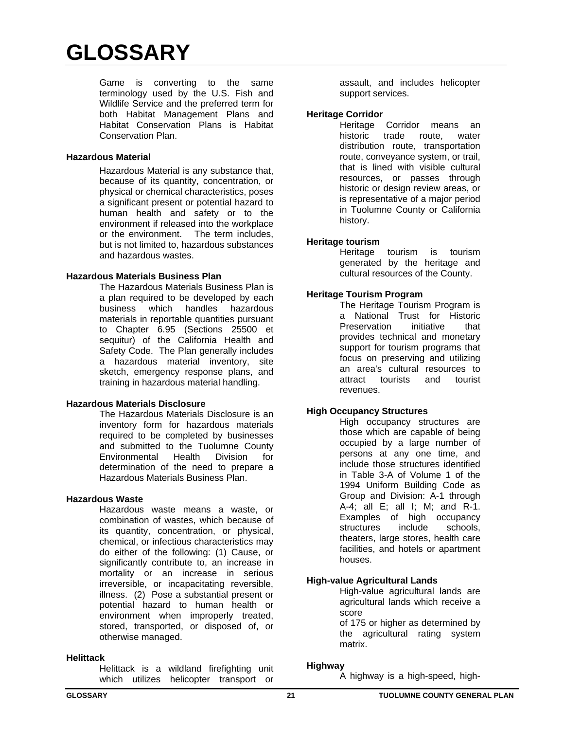Game is converting to the same terminology used by the U.S. Fish and Wildlife Service and the preferred term for both Habitat Management Plans and Habitat Conservation Plans is Habitat Conservation Plan.

# **Hazardous Material**

Hazardous Material is any substance that, because of its quantity, concentration, or physical or chemical characteristics, poses a significant present or potential hazard to human health and safety or to the environment if released into the workplace or the environment. The term includes, but is not limited to, hazardous substances and hazardous wastes.

## **Hazardous Materials Business Plan**

The Hazardous Materials Business Plan is a plan required to be developed by each business which handles hazardous materials in reportable quantities pursuant to Chapter 6.95 (Sections 25500 et sequitur) of the California Health and Safety Code. The Plan generally includes a hazardous material inventory, site sketch, emergency response plans, and training in hazardous material handling.

# **Hazardous Materials Disclosure**

The Hazardous Materials Disclosure is an inventory form for hazardous materials required to be completed by businesses and submitted to the Tuolumne County<br>Environmental Health Division for Health Division for determination of the need to prepare a Hazardous Materials Business Plan.

# **Hazardous Waste**

Hazardous waste means a waste, or combination of wastes, which because of its quantity, concentration, or physical, chemical, or infectious characteristics may do either of the following: (1) Cause, or significantly contribute to, an increase in mortality or an increase in serious irreversible, or incapacitating reversible, illness. (2) Pose a substantial present or potential hazard to human health or environment when improperly treated, stored, transported, or disposed of, or otherwise managed.

#### **Helittack**

Helittack is a wildland firefighting unit which utilizes helicopter transport or

assault, and includes helicopter support services.

## **Heritage Corridor**

Heritage Corridor means an historic trade route, water distribution route, transportation route, conveyance system, or trail, that is lined with visible cultural resources, or passes through historic or design review areas, or is representative of a major period in Tuolumne County or California history.

# **Heritage tourism**

Heritage tourism is tourism generated by the heritage and cultural resources of the County.

# **Heritage Tourism Program**

 The Heritage Tourism Program is a National Trust for Historic Preservation initiative that provides technical and monetary support for tourism programs that focus on preserving and utilizing an area's cultural resources to attract tourists and tourist revenues.

# **High Occupancy Structures**

High occupancy structures are those which are capable of being occupied by a large number of persons at any one time, and include those structures identified in Table 3-A of Volume 1 of the 1994 Uniform Building Code as Group and Division: A-1 through A-4; all E; all I; M; and R-1. Examples of high occupancy structures include schools, theaters, large stores, health care facilities, and hotels or apartment houses.

# **High-value Agricultural Lands**

High-value agricultural lands are agricultural lands which receive a score

of 175 or higher as determined by the agricultural rating system matrix.

# **Highway**

A highway is a high-speed, high-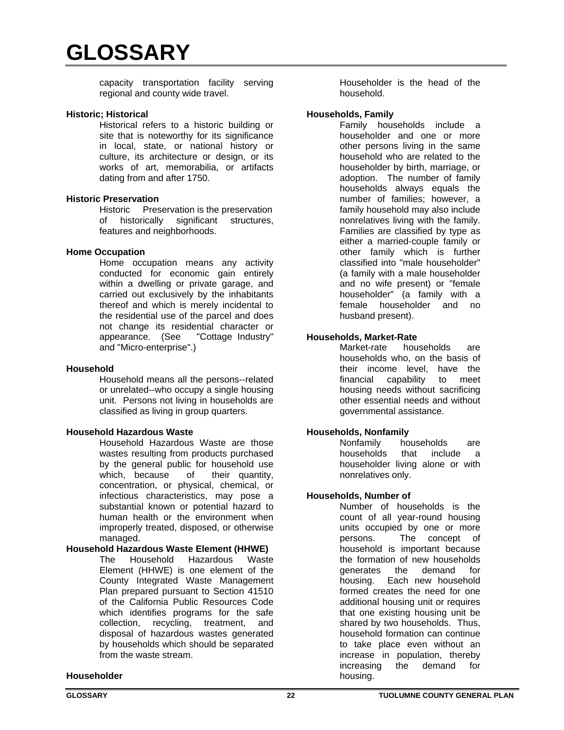capacity transportation facility serving regional and county wide travel.

### **Historic; Historical**

Historical refers to a historic building or site that is noteworthy for its significance in local, state, or national history or culture, its architecture or design, or its works of art, memorabilia, or artifacts dating from and after 1750.

#### **Historic Preservation**

Historic Preservation is the preservation of historically significant structures, features and neighborhoods.

## **Home Occupation**

Home occupation means any activity conducted for economic gain entirely within a dwelling or private garage, and carried out exclusively by the inhabitants thereof and which is merely incidental to the residential use of the parcel and does not change its residential character or appearance. (See "Cottage Industry" and "Micro-enterprise".)

### **Household**

Household means all the persons--related or unrelated--who occupy a single housing unit. Persons not living in households are classified as living in group quarters.

# **Household Hazardous Waste**

Household Hazardous Waste are those wastes resulting from products purchased by the general public for household use which, because of their quantity, concentration, or physical, chemical, or infectious characteristics, may pose a substantial known or potential hazard to human health or the environment when improperly treated, disposed, or otherwise managed.

## **Household Hazardous Waste Element (HHWE)**

The Household Hazardous Waste Element (HHWE) is one element of the County Integrated Waste Management Plan prepared pursuant to Section 41510 of the California Public Resources Code which identifies programs for the safe collection, recycling, treatment, and disposal of hazardous wastes generated by households which should be separated from the waste stream.

Householder is the head of the household.

# **Households, Family**

Family households include a householder and one or more other persons living in the same household who are related to the householder by birth, marriage, or adoption. The number of family households always equals the number of families; however, a family household may also include nonrelatives living with the family. Families are classified by type as either a married-couple family or other family which is further classified into "male householder" (a family with a male householder and no wife present) or "female householder" (a family with a female householder and no husband present).

# **Households, Market-Rate**

Market-rate households are households who, on the basis of their income level, have the financial capability to meet housing needs without sacrificing other essential needs and without governmental assistance.

# **Households, Nonfamily**

Nonfamily households are households that include a householder living alone or with nonrelatives only.

# **Households, Number of**

Number of households is the count of all year-round housing units occupied by one or more persons. The concept of household is important because the formation of new households generates the demand for housing. Each new household formed creates the need for one additional housing unit or requires that one existing housing unit be shared by two households. Thus, household formation can continue to take place even without an increase in population, thereby increasing the demand for housing.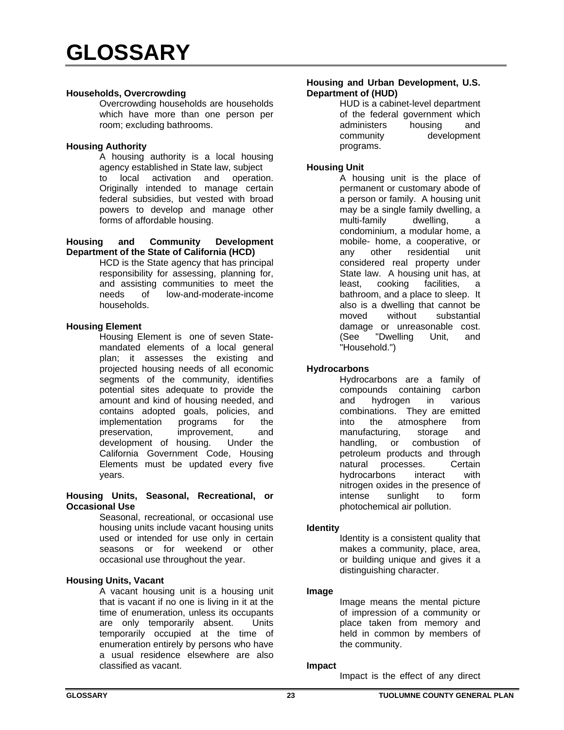#### **Households, Overcrowding**

Overcrowding households are households which have more than one person per room; excluding bathrooms.

## **Housing Authority**

A housing authority is a local housing agency established in State law, subject to local activation and operation. Originally intended to manage certain federal subsidies, but vested with broad powers to develop and manage other forms of affordable housing.

#### **Housing and Community Development Department of the State of California (HCD)**

HCD is the State agency that has principal responsibility for assessing, planning for, and assisting communities to meet the needs of low-and-moderate-income households.

## **Housing Element**

Housing Element is one of seven Statemandated elements of a local general plan; it assesses the existing and projected housing needs of all economic segments of the community, identifies potential sites adequate to provide the amount and kind of housing needed, and contains adopted goals, policies, and implementation programs for the preservation, improvement, and<br>development of housing. Under the development of housing. California Government Code, Housing Elements must be updated every five years.

#### **Housing Units, Seasonal, Recreational, or Occasional Use**

Seasonal, recreational, or occasional use housing units include vacant housing units used or intended for use only in certain seasons or for weekend or other occasional use throughout the year.

#### **Housing Units, Vacant**

A vacant housing unit is a housing unit that is vacant if no one is living in it at the time of enumeration, unless its occupants are only temporarily absent. Units temporarily occupied at the time of enumeration entirely by persons who have a usual residence elsewhere are also classified as vacant.

#### **Housing and Urban Development, U.S. Department of (HUD)**

HUD is a cabinet-level department of the federal government which administers housing and community development programs.

## **Housing Unit**

A housing unit is the place of permanent or customary abode of a person or family. A housing unit may be a single family dwelling, a multi-family dwelling, a condominium, a modular home, a mobile- home, a cooperative, or any other residential unit considered real property under State law. A housing unit has, at least, cooking facilities, a bathroom, and a place to sleep. It also is a dwelling that cannot be moved without substantial damage or unreasonable cost. (See "Dwelling Unit, and "Household.")

# **Hydrocarbons**

Hydrocarbons are a family of compounds containing carbon and hydrogen in various combinations. They are emitted into the atmosphere from manufacturing, storage and handling, or combustion of petroleum products and through natural processes. Certain hydrocarbons interact with nitrogen oxides in the presence of intense sunlight to form photochemical air pollution.

#### **Identity**

Identity is a consistent quality that makes a community, place, area, or building unique and gives it a distinguishing character.

#### **Image**

Image means the mental picture of impression of a community or place taken from memory and held in common by members of the community.

#### **Impact**

Impact is the effect of any direct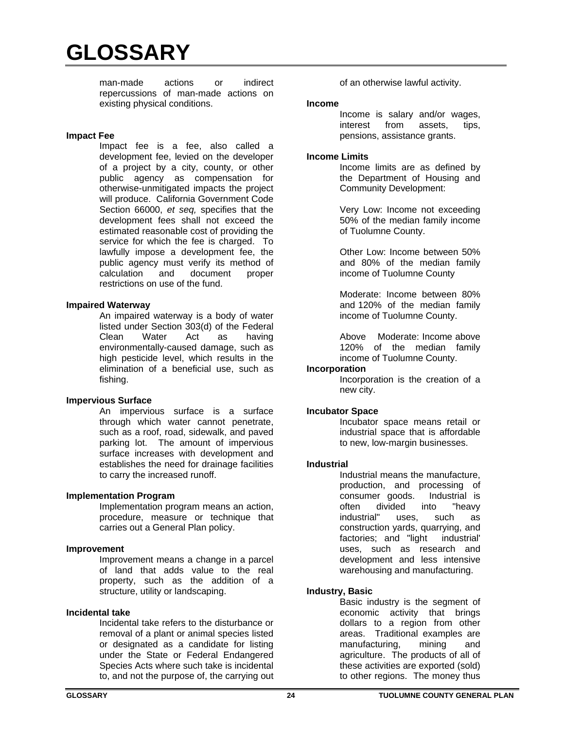man-made actions or indirect repercussions of man-made actions on existing physical conditions.

### **Impact Fee**

Impact fee is a fee, also called a development fee, levied on the developer of a project by a city, county, or other public agency as compensation for otherwise-unmitigated impacts the project will produce. California Government Code Section 66000, *et seq,* specifies that the development fees shall not exceed the estimated reasonable cost of providing the service for which the fee is charged. To lawfully impose a development fee, the public agency must verify its method of<br>calculation and document proper calculation and document proper restrictions on use of the fund.

#### **Impaired Waterway**

An impaired waterway is a body of water listed under Section 303(d) of the Federal Clean Water Act as having environmentally-caused damage, such as high pesticide level, which results in the elimination of a beneficial use, such as fishing.

# **Impervious Surface**

An impervious surface is a surface through which water cannot penetrate, such as a roof, road, sidewalk, and paved parking lot. The amount of impervious surface increases with development and establishes the need for drainage facilities to carry the increased runoff.

# **Implementation Program**

Implementation program means an action, procedure, measure or technique that carries out a General Plan policy.

#### **Improvement**

Improvement means a change in a parcel of land that adds value to the real property, such as the addition of a structure, utility or landscaping.

#### **Incidental take**

Incidental take refers to the disturbance or removal of a plant or animal species listed or designated as a candidate for listing under the State or Federal Endangered Species Acts where such take is incidental to, and not the purpose of, the carrying out of an otherwise lawful activity.

#### **Income**

Income is salary and/or wages, interest from assets, tips, pensions, assistance grants.

## **Income Limits**

Income limits are as defined by the Department of Housing and Community Development:

Very Low: Income not exceeding 50% of the median family income of Tuolumne County.

Other Low: Income between 50% and 80% of the median family income of Tuolumne County

Moderate: Income between 80% and 120% of the median family income of Tuolumne County.

Above Moderate: Income above 120% of the median family income of Tuolumne County.

### **Incorporation**

Incorporation is the creation of a new city.

# **Incubator Space**

Incubator space means retail or industrial space that is affordable to new, low-margin businesses.

#### **Industrial**

Industrial means the manufacture, production, and processing of consumer goods. Industrial is<br>often divided into "heavy often divided into industrial" uses, such as construction yards, quarrying, and factories; and "light industrial' uses, such as research and development and less intensive warehousing and manufacturing.

# **Industry, Basic**

Basic industry is the segment of economic activity that brings dollars to a region from other areas. Traditional examples are manufacturing, mining and agriculture. The products of all of these activities are exported (sold) to other regions. The money thus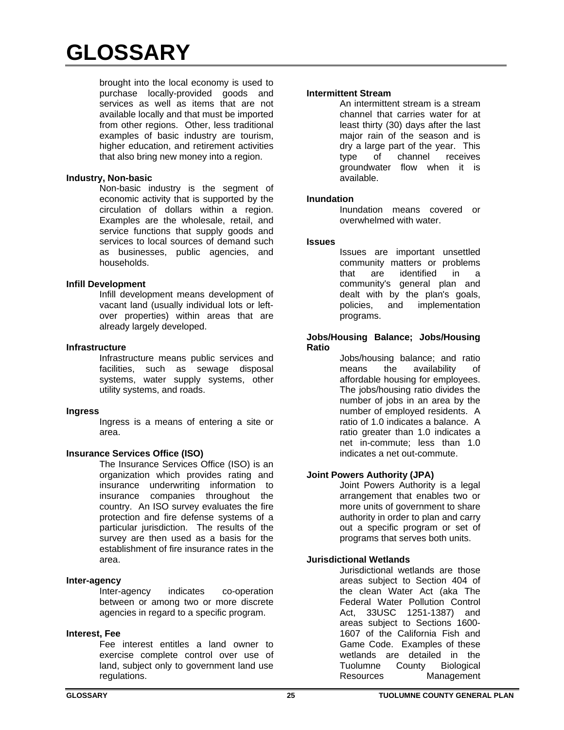brought into the local economy is used to purchase locally-provided goods and services as well as items that are not available locally and that must be imported from other regions. Other, less traditional examples of basic industry are tourism, higher education, and retirement activities that also bring new money into a region.

## **Industry, Non-basic**

Non-basic industry is the segment of economic activity that is supported by the circulation of dollars within a region. Examples are the wholesale, retail, and service functions that supply goods and services to local sources of demand such as businesses, public agencies, and households.

## **Infill Development**

Infill development means development of vacant land (usually individual lots or leftover properties) within areas that are already largely developed.

## **Infrastructure**

Infrastructure means public services and facilities, such as sewage disposal systems, water supply systems, other utility systems, and roads.

# **Ingress**

Ingress is a means of entering a site or area.

# **Insurance Services Office (ISO)**

The Insurance Services Office (ISO) is an organization which provides rating and insurance underwriting information to insurance companies throughout the country. An ISO survey evaluates the fire protection and fire defense systems of a particular jurisdiction. The results of the survey are then used as a basis for the establishment of fire insurance rates in the area.

#### **Inter-agency**

Inter-agency indicates co-operation between or among two or more discrete agencies in regard to a specific program.

# **Interest, Fee**

Fee interest entitles a land owner to exercise complete control over use of land, subject only to government land use regulations.

#### **Intermittent Stream**

An intermittent stream is a stream channel that carries water for at least thirty (30) days after the last major rain of the season and is dry a large part of the year. This type of channel receives groundwater flow when it is available.

## **Inundation**

Inundation means covered or overwhelmed with water.

#### **Issues**

Issues are important unsettled community matters or problems that are identified in a community's general plan and dealt with by the plan's goals, policies, and implementation programs.

#### **Jobs/Housing Balance; Jobs/Housing Ratio**

Jobs/housing balance; and ratio means the availability of affordable housing for employees. The jobs/housing ratio divides the number of jobs in an area by the number of employed residents. A ratio of 1.0 indicates a balance. A ratio greater than 1.0 indicates a net in-commute; less than 1.0 indicates a net out-commute.

# **Joint Powers Authority (JPA)**

Joint Powers Authority is a legal arrangement that enables two or more units of government to share authority in order to plan and carry out a specific program or set of programs that serves both units.

# **Jurisdictional Wetlands**

Jurisdictional wetlands are those areas subject to Section 404 of the clean Water Act (aka The Federal Water Pollution Control Act, 33USC 1251-1387) and areas subject to Sections 1600- 1607 of the California Fish and Game Code. Examples of these wetlands are detailed in the Tuolumne County Biological Resources Management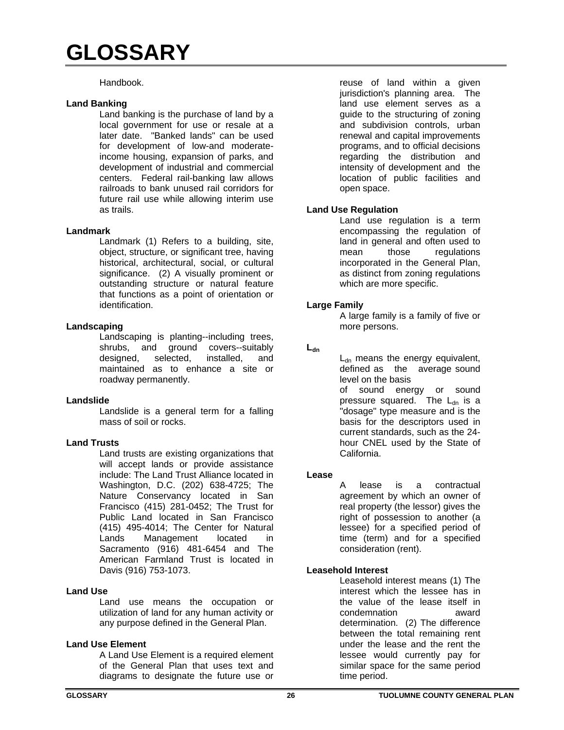## Handbook.

### **Land Banking**

Land banking is the purchase of land by a local government for use or resale at a later date. "Banked lands" can be used for development of low-and moderateincome housing, expansion of parks, and development of industrial and commercial centers. Federal rail-banking law allows railroads to bank unused rail corridors for future rail use while allowing interim use as trails.

## **Landmark**

Landmark (1) Refers to a building, site, object, structure, or significant tree, having historical, architectural, social, or cultural significance. (2) A visually prominent or outstanding structure or natural feature that functions as a point of orientation or identification.

# **Landscaping**

Landscaping is planting--including trees, shrubs, and ground covers--suitably designed, selected, installed, and maintained as to enhance a site or roadway permanently.

### **Landslide**

Landslide is a general term for a falling mass of soil or rocks.

# **Land Trusts**

Land trusts are existing organizations that will accept lands or provide assistance include: The Land Trust Alliance located in Washington, D.C. (202) 638-4725; The Nature Conservancy located in San Francisco (415) 281-0452; The Trust for Public Land located in San Francisco (415) 495-4014; The Center for Natural Lands Management located in Sacramento (916) 481-6454 and The American Farmland Trust is located in Davis (916) 753-1073.

# **Land Use**

Land use means the occupation or utilization of land for any human activity or any purpose defined in the General Plan.

# **Land Use Element**

A Land Use Element is a required element of the General Plan that uses text and diagrams to designate the future use or

reuse of land within a given jurisdiction's planning area. The land use element serves as a guide to the structuring of zoning and subdivision controls, urban renewal and capital improvements programs, and to official decisions regarding the distribution and intensity of development and the location of public facilities and open space.

## **Land Use Regulation**

Land use regulation is a term encompassing the regulation of land in general and often used to mean those regulations incorporated in the General Plan, as distinct from zoning regulations which are more specific.

# **Large Family**

A large family is a family of five or more persons.

## **Ldn**

 $L_{dn}$  means the energy equivalent, defined as the average sound level on the basis of sound energy or sound pressure squared. The  $L_{dn}$  is a "dosage" type measure and is the basis for the descriptors used in current standards, such as the 24 hour CNEL used by the State of California.

#### **Lease**

A lease is a contractual agreement by which an owner of real property (the lessor) gives the right of possession to another (a lessee) for a specified period of time (term) and for a specified consideration (rent).

# **Leasehold Interest**

Leasehold interest means (1) The interest which the lessee has in the value of the lease itself in condemnation award determination. (2) The difference between the total remaining rent under the lease and the rent the lessee would currently pay for similar space for the same period time period.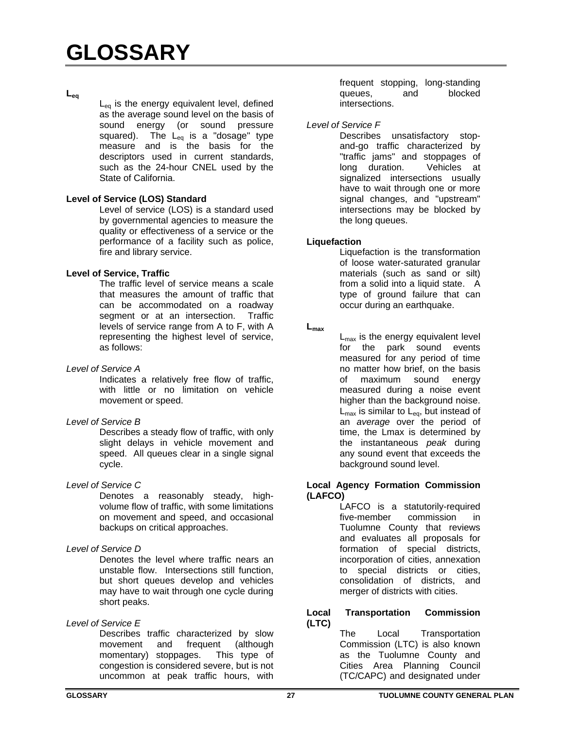### **Leq**

 $L_{eq}$  is the energy equivalent level, defined as the average sound level on the basis of sound energy (or sound pressure squared). The L<sub>eq</sub> is a "dosage" type measure and is the basis for the descriptors used in current standards, such as the 24-hour CNEL used by the State of California.

## **Level of Service (LOS) Standard**

Level of service (LOS) is a standard used by governmental agencies to measure the quality or effectiveness of a service or the performance of a facility such as police, fire and library service.

# **Level of Service, Traffic**

The traffic level of service means a scale that measures the amount of traffic that can be accommodated on a roadway segment or at an intersection. Traffic levels of service range from A to F, with A representing the highest level of service, as follows:

### *Level of Service A*

Indicates a relatively free flow of traffic, with little or no limitation on vehicle movement or speed.

# *Level of Service B*

Describes a steady flow of traffic, with only slight delays in vehicle movement and speed. All queues clear in a single signal cycle.

#### *Level of Service C*

Denotes a reasonably steady, highvolume flow of traffic, with some limitations on movement and speed, and occasional backups on critical approaches.

# *Level of Service D*

Denotes the level where traffic nears an unstable flow. Intersections still function, but short queues develop and vehicles may have to wait through one cycle during short peaks.

# *Level of Service E*

Describes traffic characterized by slow movement and frequent (although momentary) stoppages. This type of congestion is considered severe, but is not uncommon at peak traffic hours, with

frequent stopping, long-standing queues, and blocked intersections.

## *Level of Service F*

Describes unsatisfactory stopand-go traffic characterized by "traffic jams" and stoppages of long duration. Vehicles at signalized intersections usually have to wait through one or more signal changes, and "upstream" intersections may be blocked by the long queues.

# **Liquefaction**

Liquefaction is the transformation of loose water-saturated granular materials (such as sand or silt) from a solid into a liquid state. A type of ground failure that can occur during an earthquake.

#### **Lmax**

 $L_{\text{max}}$  is the energy equivalent level for the park sound events measured for any period of time no matter how brief, on the basis of maximum sound energy measured during a noise event higher than the background noise.  $L_{\text{max}}$  is similar to  $L_{\text{eq}}$ , but instead of an *average* over the period of time, the Lmax is determined by the instantaneous *peak* during any sound event that exceeds the background sound level.

#### **Local Agency Formation Commission (LAFCO)**

LAFCO is a statutorily-required five-member commission in Tuolumne County that reviews and evaluates all proposals for formation of special districts, incorporation of cities, annexation to special districts or cities, consolidation of districts, and merger of districts with cities.

## **Local Transportation Commission (LTC)**

The Local Transportation Commission (LTC) is also known as the Tuolumne County and Cities Area Planning Council (TC/CAPC) and designated under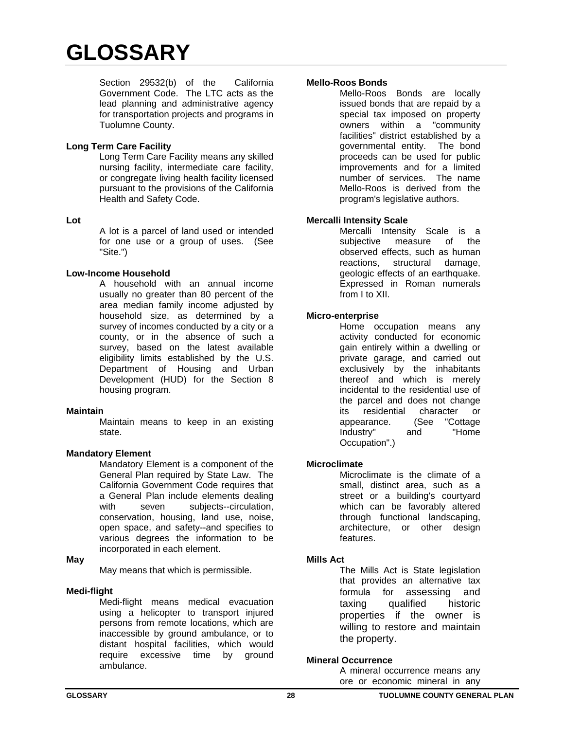Section 29532(b) of the California Government Code. The LTC acts as the lead planning and administrative agency for transportation projects and programs in Tuolumne County.

# **Long Term Care Facility**

Long Term Care Facility means any skilled nursing facility, intermediate care facility, or congregate living health facility licensed pursuant to the provisions of the California Health and Safety Code.

## **Lot**

A lot is a parcel of land used or intended for one use or a group of uses. (See "Site.")

# **Low-Income Household**

A household with an annual income usually no greater than 80 percent of the area median family income adjusted by household size, as determined by a survey of incomes conducted by a city or a county, or in the absence of such a survey, based on the latest available eligibility limits established by the U.S. Department of Housing and Urban Development (HUD) for the Section 8 housing program.

# **Maintain**

Maintain means to keep in an existing state.

# **Mandatory Element**

Mandatory Element is a component of the General Plan required by State Law. The California Government Code requires that a General Plan include elements dealing with seven subjects--circulation, conservation, housing, land use, noise, open space, and safety--and specifies to various degrees the information to be incorporated in each element.

#### **May**

May means that which is permissible.

# **Medi-flight**

Medi-flight means medical evacuation using a helicopter to transport injured persons from remote locations, which are inaccessible by ground ambulance, or to distant hospital facilities, which would require excessive time by ground ambulance.

## **Mello-Roos Bonds**

Mello-Roos Bonds are locally issued bonds that are repaid by a special tax imposed on property owners within a "community facilities" district established by a governmental entity. The bond proceeds can be used for public improvements and for a limited number of services. The name Mello-Roos is derived from the program's legislative authors.

# **Mercalli Intensity Scale**

Mercalli Intensity Scale is a subjective measure of the observed effects, such as human reactions, structural damage, geologic effects of an earthquake. Expressed in Roman numerals from I to XII.

# **Micro-enterprise**

Home occupation means any activity conducted for economic gain entirely within a dwelling or private garage, and carried out exclusively by the inhabitants thereof and which is merely incidental to the residential use of the parcel and does not change its residential character or appearance. (See "Cottage<br>Industry" and "Home Industry" and "Home Occupation".)

# **Microclimate**

Microclimate is the climate of a small, distinct area, such as a street or a building's courtyard which can be favorably altered through functional landscaping, architecture, or other design features.

# **Mills Act**

The Mills Act is State legislation that provides an alternative tax formula for assessing and taxing qualified historic properties if the owner is willing to restore and maintain the property.

#### **Mineral Occurrence**

A mineral occurrence means any ore or economic mineral in any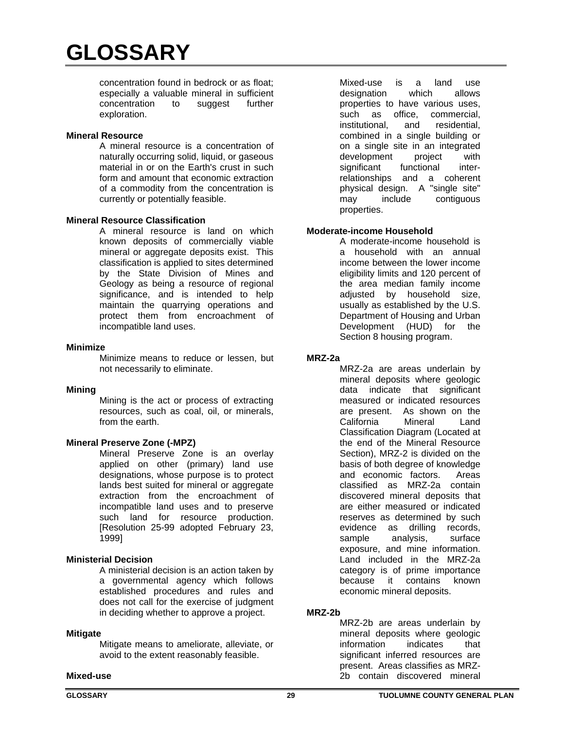concentration found in bedrock or as float; especially a valuable mineral in sufficient concentration to suggest further exploration.

## **Mineral Resource**

A mineral resource is a concentration of naturally occurring solid, liquid, or gaseous material in or on the Earth's crust in such form and amount that economic extraction of a commodity from the concentration is currently or potentially feasible.

# **Mineral Resource Classification**

A mineral resource is land on which known deposits of commercially viable mineral or aggregate deposits exist. This classification is applied to sites determined by the State Division of Mines and Geology as being a resource of regional significance, and is intended to help maintain the quarrying operations and protect them from encroachment of incompatible land uses.

## **Minimize**

Minimize means to reduce or lessen, but not necessarily to eliminate.

#### **Mining**

Mining is the act or process of extracting resources, such as coal, oil, or minerals, from the earth.

# **Mineral Preserve Zone (-MPZ)**

Mineral Preserve Zone is an overlay applied on other (primary) land use designations, whose purpose is to protect lands best suited for mineral or aggregate extraction from the encroachment of incompatible land uses and to preserve such land for resource production. [Resolution 25-99 adopted February 23, 1999]

# **Ministerial Decision**

A ministerial decision is an action taken by a governmental agency which follows established procedures and rules and does not call for the exercise of judgment in deciding whether to approve a project.

#### **Mitigate**

Mitigate means to ameliorate, alleviate, or avoid to the extent reasonably feasible.

#### **Mixed-use**

Mixed-use is a land use designation which allows properties to have various uses, such as office, commercial, institutional, and residential, combined in a single building or on a single site in an integrated development project with significant functional interrelationships and a coherent physical design. A "single site" may include contiguous properties.

## **Moderate-income Household**

A moderate-income household is a household with an annual income between the lower income eligibility limits and 120 percent of the area median family income adjusted by household size, usually as established by the U.S. Department of Housing and Urban Development (HUD) for the Section 8 housing program.

## **MRZ-2a**

MRZ-2a are areas underlain by mineral deposits where geologic data indicate that significant measured or indicated resources are present. As shown on the California Mineral Land Classification Diagram (Located at the end of the Mineral Resource Section), MRZ-2 is divided on the basis of both degree of knowledge and economic factors. Areas classified as MRZ-2a contain discovered mineral deposits that are either measured or indicated reserves as determined by such evidence as drilling records, sample analysis, surface exposure, and mine information. Land included in the MRZ-2a category is of prime importance because it contains known economic mineral deposits.

# **MRZ-2b**

MRZ-2b are areas underlain by mineral deposits where geologic information indicates that significant inferred resources are present. Areas classifies as MRZ-2b contain discovered mineral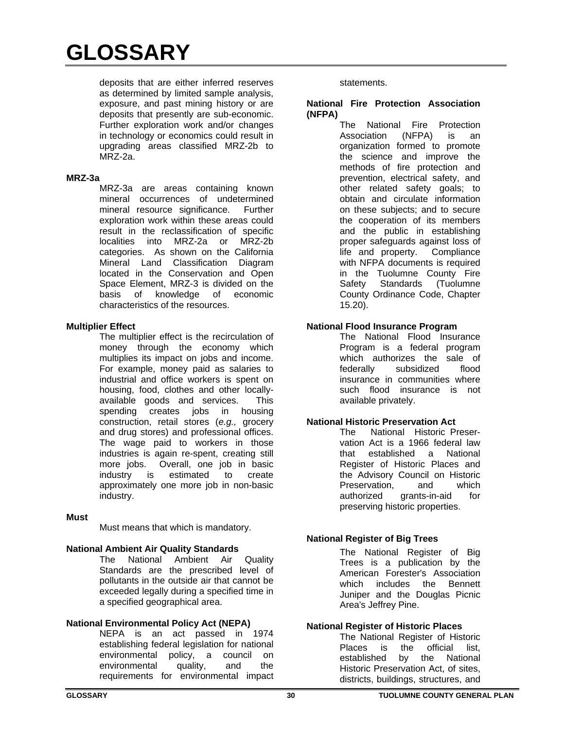deposits that are either inferred reserves as determined by limited sample analysis, exposure, and past mining history or are deposits that presently are sub-economic. Further exploration work and/or changes in technology or economics could result in upgrading areas classified MRZ-2b to MRZ-2a.

# **MRZ-3a**

MRZ-3a are areas containing known mineral occurrences of undetermined mineral resource significance. Further exploration work within these areas could result in the reclassification of specific localities into MRZ-2a or MRZ-2b categories. As shown on the California Mineral Land Classification Diagram located in the Conservation and Open Space Element, MRZ-3 is divided on the basis of knowledge of economic characteristics of the resources.

# **Multiplier Effect**

The multiplier effect is the recirculation of money through the economy which multiplies its impact on jobs and income. For example, money paid as salaries to industrial and office workers is spent on housing, food, clothes and other locallyavailable goods and services. This spending creates jobs in housing construction, retail stores (*e.g.,* grocery and drug stores) and professional offices. The wage paid to workers in those industries is again re-spent, creating still more jobs. Overall, one job in basic industry is estimated to create approximately one more job in non-basic industry.

# **Must**

Must means that which is mandatory.

# **National Ambient Air Quality Standards**

The National Ambient Air Quality Standards are the prescribed level of pollutants in the outside air that cannot be exceeded legally during a specified time in a specified geographical area.

# **National Environmental Policy Act (NEPA)**

NEPA is an act passed in 1974 establishing federal legislation for national environmental policy, a council on environmental quality, and the requirements for environmental impact statements.

# **National Fire Protection Association (NFPA)**

The National Fire Protection Association (NFPA) is an organization formed to promote the science and improve the methods of fire protection and prevention, electrical safety, and other related safety goals; to obtain and circulate information on these subjects; and to secure the cooperation of its members and the public in establishing proper safeguards against loss of life and property. Compliance with NFPA documents is required in the Tuolumne County Fire Safety Standards (Tuolumne County Ordinance Code, Chapter 15.20).

# **National Flood Insurance Program**

The National Flood Insurance Program is a federal program which authorizes the sale of federally subsidized flood insurance in communities where such flood insurance is not available privately.

# **National Historic Preservation Act**

The National Historic Preservation Act is a 1966 federal law that established a National Register of Historic Places and the Advisory Council on Historic Preservation, and which authorized grants-in-aid for preserving historic properties.

# **National Register of Big Trees**

The National Register of Big Trees is a publication by the American Forester's Association which includes the Bennett Juniper and the Douglas Picnic Area's Jeffrey Pine.

# **National Register of Historic Places**

The National Register of Historic Places is the official list. established by the National Historic Preservation Act, of sites, districts, buildings, structures, and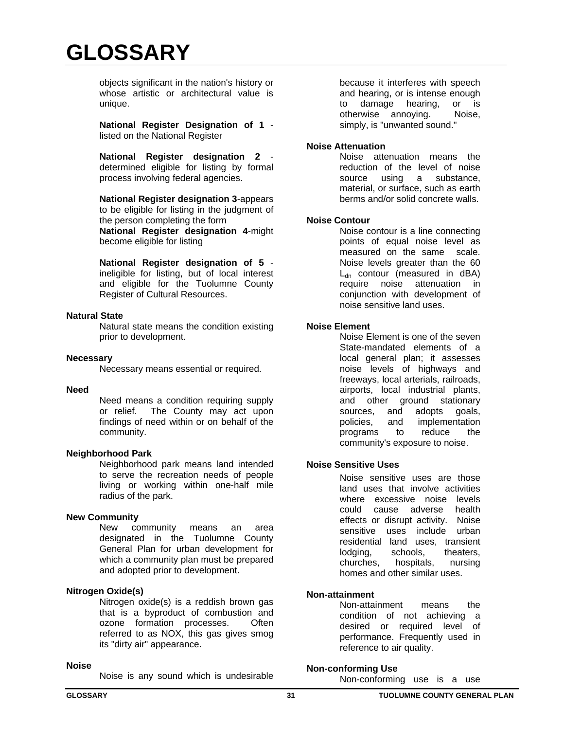objects significant in the nation's history or whose artistic or architectural value is unique.

**National Register Designation of 1** listed on the National Register

**National Register designation 2** determined eligible for listing by formal process involving federal agencies.

**National Register designation 3**-appears to be eligible for listing in the judgment of the person completing the form

**National Register designation 4**-might become eligible for listing

**National Register designation of 5** ineligible for listing, but of local interest and eligible for the Tuolumne County Register of Cultural Resources.

# **Natural State**

Natural state means the condition existing prior to development.

## **Necessary**

Necessary means essential or required.

## **Need**

Need means a condition requiring supply or relief. The County may act upon findings of need within or on behalf of the community.

#### **Neighborhood Park**

Neighborhood park means land intended to serve the recreation needs of people living or working within one-half mile radius of the park.

# **New Community**

New community means an area designated in the Tuolumne County General Plan for urban development for which a community plan must be prepared and adopted prior to development.

# **Nitrogen Oxide(s)**

Nitrogen oxide(s) is a reddish brown gas that is a byproduct of combustion and ozone formation processes. Often referred to as NOX, this gas gives smog its "dirty air" appearance.

#### **Noise**

Noise is any sound which is undesirable

because it interferes with speech and hearing, or is intense enough to damage hearing, or is otherwise annoying. Noise, simply, is "unwanted sound."

### **Noise Attenuation**

Noise attenuation means the reduction of the level of noise source using a substance, material, or surface, such as earth berms and/or solid concrete walls.

## **Noise Contour**

Noise contour is a line connecting points of equal noise level as measured on the same scale. Noise levels greater than the 60  $L_{dn}$  contour (measured in dBA) require noise attenuation in conjunction with development of noise sensitive land uses.

# **Noise Element**

Noise Element is one of the seven State-mandated elements of a local general plan; it assesses noise levels of highways and freeways, local arterials, railroads, airports, local industrial plants, and other ground stationary sources, and adopts goals, policies, and implementation programs to reduce the community's exposure to noise.

# **Noise Sensitive Uses**

Noise sensitive uses are those land uses that involve activities where excessive noise levels could cause adverse health effects or disrupt activity. Noise sensitive uses include urban residential land uses, transient lodging, schools, theaters, churches, hospitals, nursing homes and other similar uses.

# **Non-attainment**

Non-attainment means the condition of not achieving a desired or required level of performance. Frequently used in reference to air quality.

# **Non-conforming Use**

Non-conforming use is a use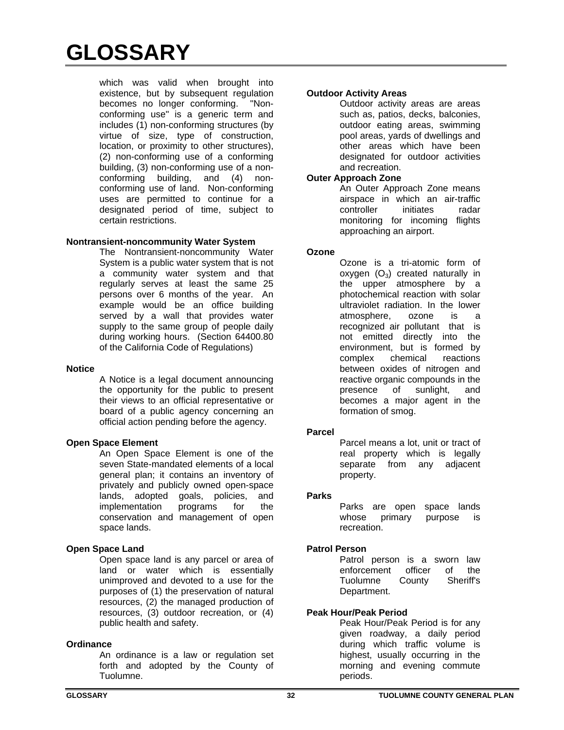which was valid when brought into existence, but by subsequent regulation becomes no longer conforming. "Nonconforming use" is a generic term and includes (1) non-conforming structures (by virtue of size, type of construction, location, or proximity to other structures), (2) non-conforming use of a conforming building, (3) non-conforming use of a nonconforming building, and (4) nonconforming use of land. Non-conforming uses are permitted to continue for a designated period of time, subject to certain restrictions.

# **Nontransient-noncommunity Water System**

The Nontransient-noncommunity Water System is a public water system that is not a community water system and that regularly serves at least the same 25 persons over 6 months of the year. An example would be an office building served by a wall that provides water supply to the same group of people daily during working hours. (Section 64400.80 of the California Code of Regulations)

#### **Notice**

A Notice is a legal document announcing the opportunity for the public to present their views to an official representative or board of a public agency concerning an official action pending before the agency.

# **Open Space Element**

An Open Space Element is one of the seven State-mandated elements of a local general plan; it contains an inventory of privately and publicly owned open-space lands, adopted goals, policies, and implementation programs for the conservation and management of open space lands.

# **Open Space Land**

Open space land is any parcel or area of land or water which is essentially unimproved and devoted to a use for the purposes of (1) the preservation of natural resources, (2) the managed production of resources, (3) outdoor recreation, or (4) public health and safety.

# **Ordinance**

An ordinance is a law or regulation set forth and adopted by the County of Tuolumne.

# **Outdoor Activity Areas**

Outdoor activity areas are areas such as, patios, decks, balconies, outdoor eating areas, swimming pool areas, yards of dwellings and other areas which have been designated for outdoor activities and recreation.

# **Outer Approach Zone**

An Outer Approach Zone means airspace in which an air-traffic controller initiates radar monitoring for incoming flights approaching an airport.

# **Ozone**

Ozone is a tri-atomic form of oxygen  $(O_3)$  created naturally in the upper atmosphere by a photochemical reaction with solar ultraviolet radiation. In the lower atmosphere, ozone is a recognized air pollutant that is not emitted directly into the environment, but is formed by complex chemical reactions between oxides of nitrogen and reactive organic compounds in the presence of sunlight, and becomes a major agent in the formation of smog.

# **Parcel**

Parcel means a lot, unit or tract of real property which is legally separate from any adjacent property.

# **Parks**

Parks are open space lands whose primary purpose is recreation.

# **Patrol Person**

Patrol person is a sworn law enforcement officer of the Tuolumne County Sheriff's Department.

# **Peak Hour/Peak Period**

Peak Hour/Peak Period is for any given roadway, a daily period during which traffic volume is highest, usually occurring in the morning and evening commute periods.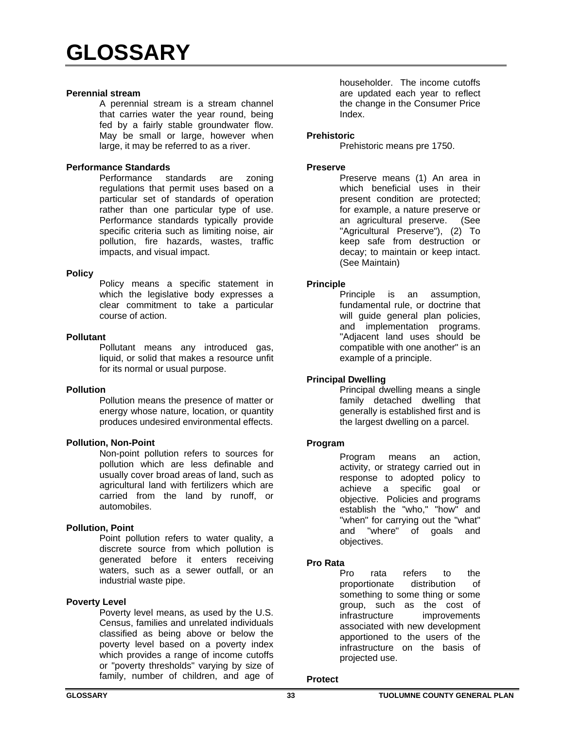#### **Perennial stream**

A perennial stream is a stream channel that carries water the year round, being fed by a fairly stable groundwater flow. May be small or large, however when large, it may be referred to as a river.

# **Performance Standards**

Performance standards are zoning regulations that permit uses based on a particular set of standards of operation rather than one particular type of use. Performance standards typically provide specific criteria such as limiting noise, air pollution, fire hazards, wastes, traffic impacts, and visual impact.

## **Policy**

Policy means a specific statement in which the legislative body expresses a clear commitment to take a particular course of action.

## **Pollutant**

Pollutant means any introduced gas, liquid, or solid that makes a resource unfit for its normal or usual purpose.

# **Pollution**

Pollution means the presence of matter or energy whose nature, location, or quantity produces undesired environmental effects.

# **Pollution, Non-Point**

Non-point pollution refers to sources for pollution which are less definable and usually cover broad areas of land, such as agricultural land with fertilizers which are carried from the land by runoff, or automobiles.

# **Pollution, Point**

Point pollution refers to water quality, a discrete source from which pollution is generated before it enters receiving waters, such as a sewer outfall, or an industrial waste pipe.

# **Poverty Level**

Poverty level means, as used by the U.S. Census, families and unrelated individuals classified as being above or below the poverty level based on a poverty index which provides a range of income cutoffs or "poverty thresholds" varying by size of family, number of children, and age of

householder. The income cutoffs are updated each year to reflect the change in the Consumer Price Index.

## **Prehistoric**

Prehistoric means pre 1750.

### **Preserve**

Preserve means (1) An area in which beneficial uses in their present condition are protected; for example, a nature preserve or an agricultural preserve. (See "Agricultural Preserve"), (2) To keep safe from destruction or decay; to maintain or keep intact. (See Maintain)

## **Principle**

Principle is an assumption, fundamental rule, or doctrine that will guide general plan policies, and implementation programs. "Adjacent land uses should be compatible with one another" is an example of a principle.

# **Principal Dwelling**

Principal dwelling means a single family detached dwelling that generally is established first and is the largest dwelling on a parcel.

# **Program**

Program means an action, activity, or strategy carried out in response to adopted policy to achieve a specific goal or objective. Policies and programs establish the "who," "how" and "when" for carrying out the "what" and "where" of goals and objectives.

# **Pro Rata**

Pro rata refers to the proportionate distribution of something to some thing or some group, such as the cost of infrastructure improvements associated with new development apportioned to the users of the infrastructure on the basis of projected use.

#### **Protect**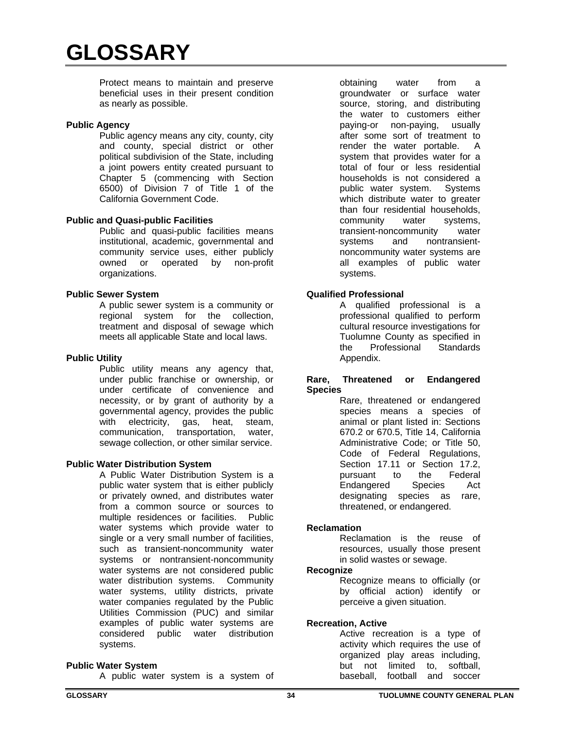Protect means to maintain and preserve beneficial uses in their present condition as nearly as possible.

## **Public Agency**

Public agency means any city, county, city and county, special district or other political subdivision of the State, including a joint powers entity created pursuant to Chapter 5 (commencing with Section 6500) of Division 7 of Title 1 of the California Government Code.

## **Public and Quasi-public Facilities**

Public and quasi-public facilities means institutional, academic, governmental and community service uses, either publicly owned or operated by non-profit organizations.

## **Public Sewer System**

A public sewer system is a community or regional system for the collection, treatment and disposal of sewage which meets all applicable State and local laws.

## **Public Utility**

Public utility means any agency that, under public franchise or ownership, or under certificate of convenience and necessity, or by grant of authority by a governmental agency, provides the public with electricity, gas, heat, steam, communication, transportation, water, sewage collection, or other similar service.

# **Public Water Distribution System**

A Public Water Distribution System is a public water system that is either publicly or privately owned, and distributes water from a common source or sources to multiple residences or facilities. Public water systems which provide water to single or a very small number of facilities, such as transient-noncommunity water systems or nontransient-noncommunity water systems are not considered public water distribution systems. Community water systems, utility districts, private water companies regulated by the Public Utilities Commission (PUC) and similar examples of public water systems are considered public water distribution systems.

#### **Public Water System**

A public water system is a system of

obtaining water from a groundwater or surface water source, storing, and distributing the water to customers either paying-or non-paying, usually after some sort of treatment to render the water portable. A system that provides water for a total of four or less residential households is not considered a public water system. Systems which distribute water to greater than four residential households, community water systems, transient-noncommunity water systems and nontransientnoncommunity water systems are all examples of public water systems.

## **Qualified Professional**

A qualified professional is a professional qualified to perform cultural resource investigations for Tuolumne County as specified in the Professional Standards Appendix.

#### **Rare, Threatened or Endangered Species**

Rare, threatened or endangered species means a species of animal or plant listed in: Sections 670.2 or 670.5, Title 14, California Administrative Code; or Title 50, Code of Federal Regulations, Section 17.11 or Section 17.2. pursuant to the Federal Endangered Species Act designating species as rare, threatened, or endangered.

## **Reclamation**

Reclamation is the reuse of resources, usually those present in solid wastes or sewage.

### **Recognize**

Recognize means to officially (or by official action) identify or perceive a given situation.

#### **Recreation, Active**

Active recreation is a type of activity which requires the use of organized play areas including, but not limited to, softball, baseball, football and soccer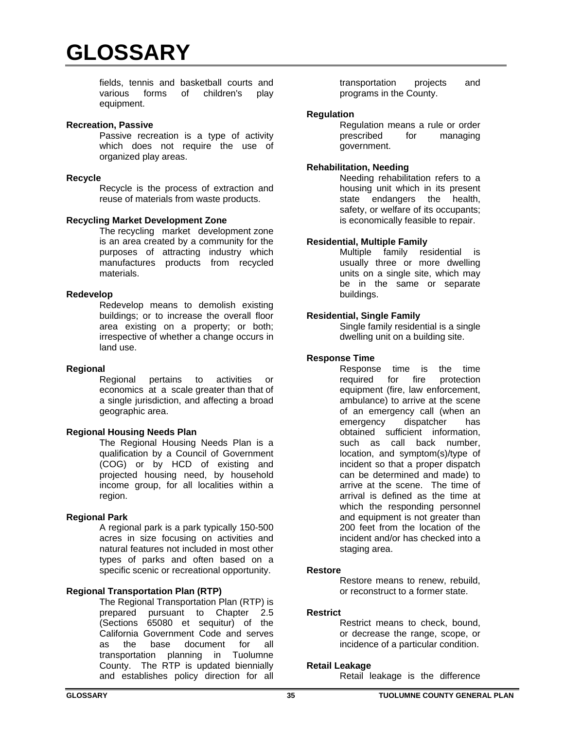fields, tennis and basketball courts and various forms of children's play equipment.

#### **Recreation, Passive**

Passive recreation is a type of activity which does not require the use of organized play areas.

## **Recycle**

Recycle is the process of extraction and reuse of materials from waste products.

## **Recycling Market Development Zone**

The recycling market development zone is an area created by a community for the purposes of attracting industry which manufactures products from recycled materials.

## **Redevelop**

Redevelop means to demolish existing buildings; or to increase the overall floor area existing on a property; or both; irrespective of whether a change occurs in land use.

#### **Regional**

Regional pertains to activities or economics at a scale greater than that of a single jurisdiction, and affecting a broad geographic area.

# **Regional Housing Needs Plan**

The Regional Housing Needs Plan is a qualification by a Council of Government (COG) or by HCD of existing and projected housing need, by household income group, for all localities within a region.

## **Regional Park**

A regional park is a park typically 150-500 acres in size focusing on activities and natural features not included in most other types of parks and often based on a specific scenic or recreational opportunity.

# **Regional Transportation Plan (RTP)**

The Regional Transportation Plan (RTP) is prepared pursuant to Chapter 2.5 (Sections 65080 et sequitur) of the California Government Code and serves as the base document for all transportation planning in Tuolumne County. The RTP is updated biennially and establishes policy direction for all

transportation projects and programs in the County.

### **Regulation**

Regulation means a rule or order prescribed for managing government.

### **Rehabilitation, Needing**

Needing rehabilitation refers to a housing unit which in its present state endangers the health, safety, or welfare of its occupants; is economically feasible to repair.

#### **Residential, Multiple Family**

Multiple family residential is usually three or more dwelling units on a single site, which may be in the same or separate buildings.

## **Residential, Single Family**

Single family residential is a single dwelling unit on a building site.

# **Response Time**

Response time is the time required for fire protection equipment (fire, law enforcement, ambulance) to arrive at the scene of an emergency call (when an emergency dispatcher has obtained sufficient information, such as call back number, location, and symptom(s)/type of incident so that a proper dispatch can be determined and made) to arrive at the scene. The time of arrival is defined as the time at which the responding personnel and equipment is not greater than 200 feet from the location of the incident and/or has checked into a staging area.

#### **Restore**

Restore means to renew, rebuild, or reconstruct to a former state.

#### **Restrict**

Restrict means to check, bound, or decrease the range, scope, or incidence of a particular condition.

#### **Retail Leakage**

Retail leakage is the difference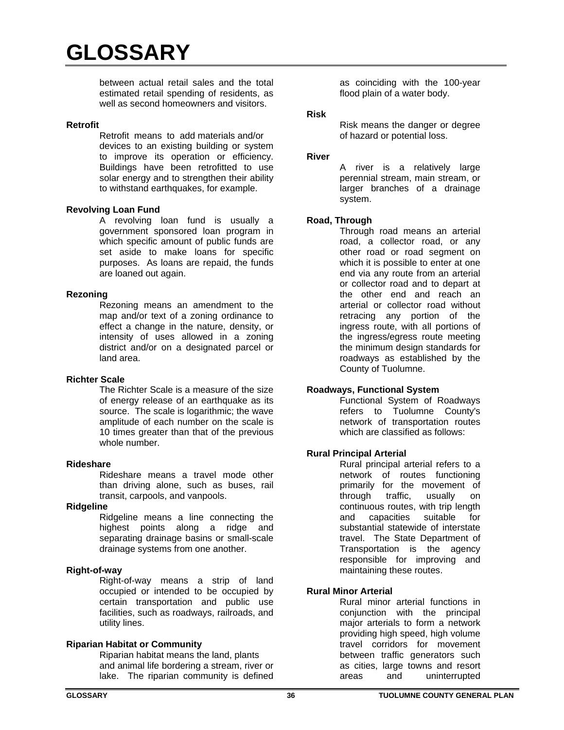between actual retail sales and the total estimated retail spending of residents, as well as second homeowners and visitors.

### **Retrofit**

Retrofit means to add materials and/or devices to an existing building or system to improve its operation or efficiency. Buildings have been retrofitted to use solar energy and to strengthen their ability to withstand earthquakes, for example.

# **Revolving Loan Fund**

A revolving loan fund is usually a government sponsored loan program in which specific amount of public funds are set aside to make loans for specific purposes. As loans are repaid, the funds are loaned out again.

## **Rezoning**

Rezoning means an amendment to the map and/or text of a zoning ordinance to effect a change in the nature, density, or intensity of uses allowed in a zoning district and/or on a designated parcel or land area.

# **Richter Scale**

The Richter Scale is a measure of the size of energy release of an earthquake as its source. The scale is logarithmic; the wave amplitude of each number on the scale is 10 times greater than that of the previous whole number.

#### **Rideshare**

Rideshare means a travel mode other than driving alone, such as buses, rail transit, carpools, and vanpools.

# **Ridgeline**

Ridgeline means a line connecting the highest points along a ridge and separating drainage basins or small-scale drainage systems from one another.

# **Right-of-way**

Right-of-way means a strip of land occupied or intended to be occupied by certain transportation and public use facilities, such as roadways, railroads, and utility lines.

# **Riparian Habitat or Community**

Riparian habitat means the land, plants and animal life bordering a stream, river or lake. The riparian community is defined

as coinciding with the 100-year flood plain of a water body.

### **Risk**

Risk means the danger or degree of hazard or potential loss.

### **River**

A river is a relatively large perennial stream, main stream, or larger branches of a drainage system.

## **Road, Through**

Through road means an arterial road, a collector road, or any other road or road segment on which it is possible to enter at one end via any route from an arterial or collector road and to depart at the other end and reach an arterial or collector road without retracing any portion of the ingress route, with all portions of the ingress/egress route meeting the minimum design standards for roadways as established by the County of Tuolumne.

# **Roadways, Functional System**

Functional System of Roadways refers to Tuolumne County's network of transportation routes which are classified as follows:

# **Rural Principal Arterial**

Rural principal arterial refers to a network of routes functioning primarily for the movement of through traffic, usually on continuous routes, with trip length and capacities suitable for substantial statewide of interstate travel. The State Department of Transportation is the agency responsible for improving and maintaining these routes.

# **Rural Minor Arterial**

Rural minor arterial functions in conjunction with the principal major arterials to form a network providing high speed, high volume travel corridors for movement between traffic generators such as cities, large towns and resort areas and uninterrupted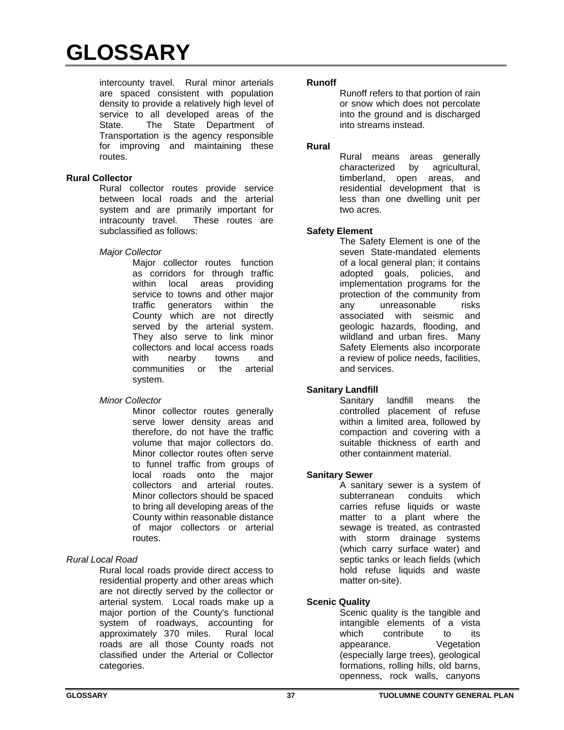intercounty travel. Rural minor arterials are spaced consistent with population density to provide a relatively high level of service to all developed areas of the State. The State Department of Transportation is the agency responsible for improving and maintaining these routes.

# **Rural Collector**

Rural collector routes provide service between local roads and the arterial system and are primarily important for intracounty travel. These routes are subclassified as follows:

# *Major Collector*

Major collector routes function as corridors for through traffic within local areas providing service to towns and other major traffic generators within the County which are not directly served by the arterial system. They also serve to link minor collectors and local access roads with nearby towns and communities or the arterial system.

# *Minor Collector*

Minor collector routes generally serve lower density areas and therefore, do not have the traffic volume that major collectors do. Minor collector routes often serve to funnel traffic from groups of local roads onto the major collectors and arterial routes. Minor collectors should be spaced to bring all developing areas of the County within reasonable distance of major collectors or arterial routes.

# *Rural Local Road*

Rural local roads provide direct access to residential property and other areas which are not directly served by the collector or arterial system. Local roads make up a major portion of the County's functional system of roadways, accounting for<br>approximately 370 miles. Rural local approximately 370 miles. roads are all those County roads not classified under the Arterial or Collector categories.

# **Runoff**

Runoff refers to that portion of rain or snow which does not percolate into the ground and is discharged into streams instead.

# **Rural**

Rural means areas generally characterized by agricultural, timberland, open areas, and residential development that is less than one dwelling unit per two acres.

# **Safety Element**

The Safety Element is one of the seven State-mandated elements of a local general plan; it contains adopted goals, policies, and implementation programs for the protection of the community from any unreasonable risks associated with seismic and geologic hazards, flooding, and wildland and urban fires. Many Safety Elements also incorporate a review of police needs, facilities, and services.

# **Sanitary Landfill**

Sanitary landfill means the controlled placement of refuse within a limited area, followed by compaction and covering with a suitable thickness of earth and other containment material.

# **Sanitary Sewer**

A sanitary sewer is a system of subterranean conduits which carries refuse liquids or waste matter to a plant where the sewage is treated, as contrasted with storm drainage systems (which carry surface water) and septic tanks or leach fields (which hold refuse liquids and waste matter on-site).

# **Scenic Quality**

Scenic quality is the tangible and intangible elements of a vista which contribute to its appearance. Vegetation (especially large trees), geological formations, rolling hills, old barns, openness, rock walls, canyons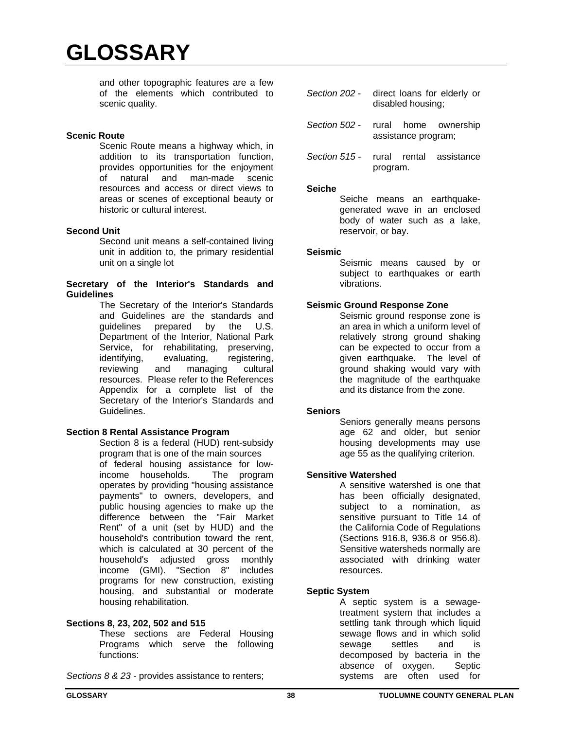and other topographic features are a few of the elements which contributed to scenic quality.

## **Scenic Route**

Scenic Route means a highway which, in addition to its transportation function, provides opportunities for the enjoyment of natural and man-made scenic resources and access or direct views to areas or scenes of exceptional beauty or historic or cultural interest.

## **Second Unit**

Second unit means a self-contained living unit in addition to, the primary residential unit on a single lot

## **Secretary of the Interior's Standards and Guidelines**

The Secretary of the Interior's Standards and Guidelines are the standards and guidelines prepared by the U.S. Department of the Interior, National Park Service, for rehabilitating, preserving, identifying, evaluating, registering, reviewing and managing cultural resources. Please refer to the References Appendix for a complete list of the Secretary of the Interior's Standards and Guidelines.

# **Section 8 Rental Assistance Program**

Section 8 is a federal (HUD) rent-subsidy program that is one of the main sources of federal housing assistance for lowincome households. The program operates by providing "housing assistance payments" to owners, developers, and public housing agencies to make up the difference between the "Fair Market Rent" of a unit (set by HUD) and the household's contribution toward the rent, which is calculated at 30 percent of the household's adjusted gross monthly income (GMI). "Section 8" includes programs for new construction, existing housing, and substantial or moderate housing rehabilitation.

# **Sections 8, 23, 202, 502 and 515**

These sections are Federal Housing Programs which serve the following functions:

*Sections 8 & 23* - provides assistance to renters;

| Section 202 - | direct loans for elderly or |  |  |
|---------------|-----------------------------|--|--|
|               | disabled housing;           |  |  |

- *Section 502* rural home ownership assistance program;
- *Section 515 -* rural rental assistance program.

#### **Seiche**

Seiche means an earthquakegenerated wave in an enclosed body of water such as a lake, reservoir, or bay.

#### **Seismic**

Seismic means caused by or subject to earthquakes or earth vibrations.

## **Seismic Ground Response Zone**

Seismic ground response zone is an area in which a uniform level of relatively strong ground shaking can be expected to occur from a given earthquake. The level of ground shaking would vary with the magnitude of the earthquake and its distance from the zone.

#### **Seniors**

Seniors generally means persons age 62 and older, but senior housing developments may use age 55 as the qualifying criterion.

#### **Sensitive Watershed**

A sensitive watershed is one that has been officially designated, subject to a nomination, as sensitive pursuant to Title 14 of the California Code of Regulations (Sections 916.8, 936.8 or 956.8). Sensitive watersheds normally are associated with drinking water resources.

#### **Septic System**

A septic system is a sewagetreatment system that includes a settling tank through which liquid sewage flows and in which solid sewage settles and is decomposed by bacteria in the absence of oxygen. Septic systems are often used for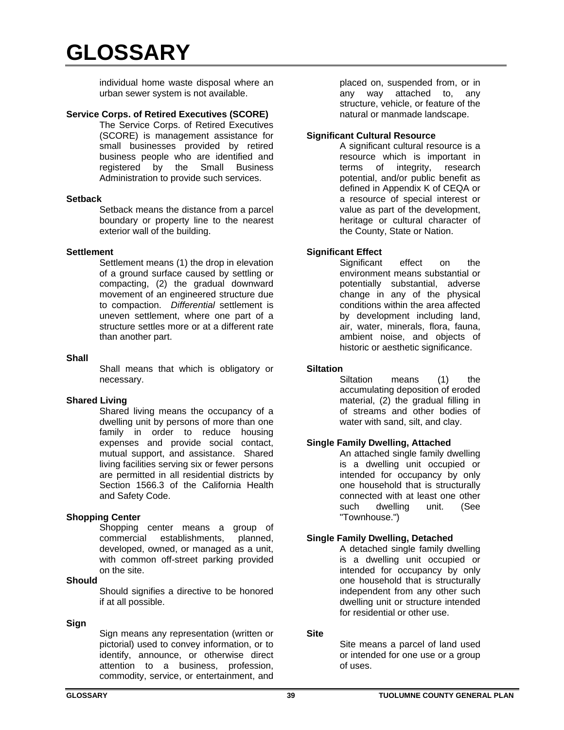individual home waste disposal where an urban sewer system is not available.

# **Service Corps. of Retired Executives (SCORE)**

 The Service Corps. of Retired Executives (SCORE) is management assistance for small businesses provided by retired business people who are identified and registered by the Small Business Administration to provide such services.

## **Setback**

Setback means the distance from a parcel boundary or property line to the nearest exterior wall of the building.

# **Settlement**

Settlement means (1) the drop in elevation of a ground surface caused by settling or compacting, (2) the gradual downward movement of an engineered structure due to compaction. *Differential* settlement is uneven settlement, where one part of a structure settles more or at a different rate than another part.

## **Shall**

Shall means that which is obligatory or necessary.

# **Shared Living**

Shared living means the occupancy of a dwelling unit by persons of more than one family in order to reduce housing expenses and provide social contact, mutual support, and assistance. Shared living facilities serving six or fewer persons are permitted in all residential districts by Section 1566.3 of the California Health and Safety Code.

# **Shopping Center**

Shopping center means a group of commercial establishments, planned, developed, owned, or managed as a unit, with common off-street parking provided on the site.

#### **Should**

Should signifies a directive to be honored if at all possible.

# **Sign**

Sign means any representation (written or pictorial) used to convey information, or to identify, announce, or otherwise direct attention to a business, profession, commodity, service, or entertainment, and

placed on, suspended from, or in any way attached to, any structure, vehicle, or feature of the natural or manmade landscape.

## **Significant Cultural Resource**

A significant cultural resource is a resource which is important in terms of integrity, research potential, and/or public benefit as defined in Appendix K of CEQA or a resource of special interest or value as part of the development, heritage or cultural character of the County, State or Nation.

# **Significant Effect**

Significant effect on the environment means substantial or potentially substantial, adverse change in any of the physical conditions within the area affected by development including land, air, water, minerals, flora, fauna, ambient noise, and objects of historic or aesthetic significance.

# **Siltation**

Siltation means (1) the accumulating deposition of eroded material, (2) the gradual filling in of streams and other bodies of water with sand, silt, and clay.

# **Single Family Dwelling, Attached**

An attached single family dwelling is a dwelling unit occupied or intended for occupancy by only one household that is structurally connected with at least one other such dwelling unit. (See "Townhouse.")

# **Single Family Dwelling, Detached**

A detached single family dwelling is a dwelling unit occupied or intended for occupancy by only one household that is structurally independent from any other such dwelling unit or structure intended for residential or other use.

# **Site**

Site means a parcel of land used or intended for one use or a group of uses.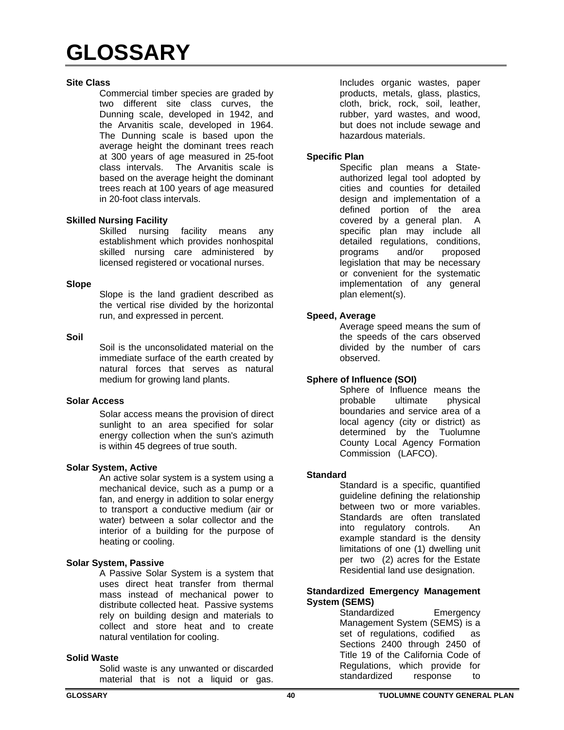### **Site Class**

Commercial timber species are graded by two different site class curves, the Dunning scale, developed in 1942, and the Arvanitis scale, developed in 1964. The Dunning scale is based upon the average height the dominant trees reach at 300 years of age measured in 25-foot class intervals. The Arvanitis scale is based on the average height the dominant trees reach at 100 years of age measured in 20-foot class intervals.

# **Skilled Nursing Facility**

Skilled nursing facility means any establishment which provides nonhospital skilled nursing care administered by licensed registered or vocational nurses.

## **Slope**

Slope is the land gradient described as the vertical rise divided by the horizontal run, and expressed in percent.

## **Soil**

Soil is the unconsolidated material on the immediate surface of the earth created by natural forces that serves as natural medium for growing land plants.

# **Solar Access**

Solar access means the provision of direct sunlight to an area specified for solar energy collection when the sun's azimuth is within 45 degrees of true south.

# **Solar System, Active**

An active solar system is a system using a mechanical device, such as a pump or a fan, and energy in addition to solar energy to transport a conductive medium (air or water) between a solar collector and the interior of a building for the purpose of heating or cooling.

# **Solar System, Passive**

A Passive Solar System is a system that uses direct heat transfer from thermal mass instead of mechanical power to distribute collected heat. Passive systems rely on building design and materials to collect and store heat and to create natural ventilation for cooling.

# **Solid Waste**

Solid waste is any unwanted or discarded material that is not a liquid or gas.

Includes organic wastes, paper products, metals, glass, plastics, cloth, brick, rock, soil, leather, rubber, yard wastes, and wood, but does not include sewage and hazardous materials.

# **Specific Plan**

Specific plan means a Stateauthorized legal tool adopted by cities and counties for detailed design and implementation of a defined portion of the area covered by a general plan. A specific plan may include all detailed regulations, conditions, programs and/or proposed legislation that may be necessary or convenient for the systematic implementation of any general plan element(s).

# **Speed, Average**

Average speed means the sum of the speeds of the cars observed divided by the number of cars observed.

# **Sphere of Influence (SOI)**

Sphere of Influence means the<br>probable ultimate physical probable ultimate physical boundaries and service area of a local agency (city or district) as determined by the Tuolumne County Local Agency Formation Commission (LAFCO).

# **Standard**

Standard is a specific, quantified guideline defining the relationship between two or more variables. Standards are often translated into regulatory controls. An example standard is the density limitations of one (1) dwelling unit per two (2) acres for the Estate Residential land use designation.

#### **Standardized Emergency Management System (SEMS)**

Standardized Emergency Management System (SEMS) is a set of regulations, codified as Sections 2400 through 2450 of Title 19 of the California Code of Regulations, which provide for standardized response to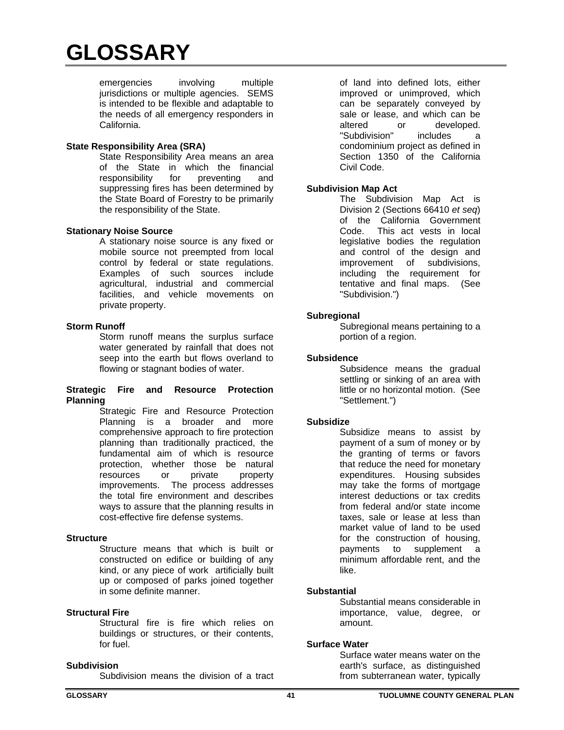emergencies involving multiple jurisdictions or multiple agencies. SEMS is intended to be flexible and adaptable to the needs of all emergency responders in California.

## **State Responsibility Area (SRA)**

State Responsibility Area means an area of the State in which the financial<br>responsibility for preventing and responsibility for preventing and suppressing fires has been determined by the State Board of Forestry to be primarily the responsibility of the State.

## **Stationary Noise Source**

A stationary noise source is any fixed or mobile source not preempted from local control by federal or state regulations. Examples of such sources include agricultural, industrial and commercial facilities, and vehicle movements on private property.

## **Storm Runoff**

Storm runoff means the surplus surface water generated by rainfall that does not seep into the earth but flows overland to flowing or stagnant bodies of water.

#### **Strategic Fire and Resource Protection Planning**

Strategic Fire and Resource Protection Planning is a broader and more comprehensive approach to fire protection planning than traditionally practiced, the fundamental aim of which is resource protection, whether those be natural resources or private property improvements. The process addresses the total fire environment and describes ways to assure that the planning results in cost-effective fire defense systems.

#### **Structure**

Structure means that which is built or constructed on edifice or building of any kind, or any piece of work artificially built up or composed of parks joined together in some definite manner.

#### **Structural Fire**

Structural fire is fire which relies on buildings or structures, or their contents, for fuel.

#### **Subdivision**

Subdivision means the division of a tract

of land into defined lots, either improved or unimproved, which can be separately conveyed by sale or lease, and which can be altered or developed. "Subdivision" includes a condominium project as defined in Section 1350 of the California Civil Code.

# **Subdivision Map Act**

The Subdivision Map Act is Division 2 (Sections 66410 *et seq*) of the California Government Code. This act vests in local legislative bodies the regulation and control of the design and improvement of subdivisions, including the requirement for tentative and final maps. (See "Subdivision.")

## **Subregional**

Subregional means pertaining to a portion of a region.

## **Subsidence**

Subsidence means the gradual settling or sinking of an area with little or no horizontal motion. (See "Settlement.")

#### **Subsidize**

Subsidize means to assist by payment of a sum of money or by the granting of terms or favors that reduce the need for monetary expenditures. Housing subsides may take the forms of mortgage interest deductions or tax credits from federal and/or state income taxes, sale or lease at less than market value of land to be used for the construction of housing, payments to supplement a minimum affordable rent, and the like.

#### **Substantial**

Substantial means considerable in importance, value, degree, or amount.

#### **Surface Water**

Surface water means water on the earth's surface, as distinguished from subterranean water, typically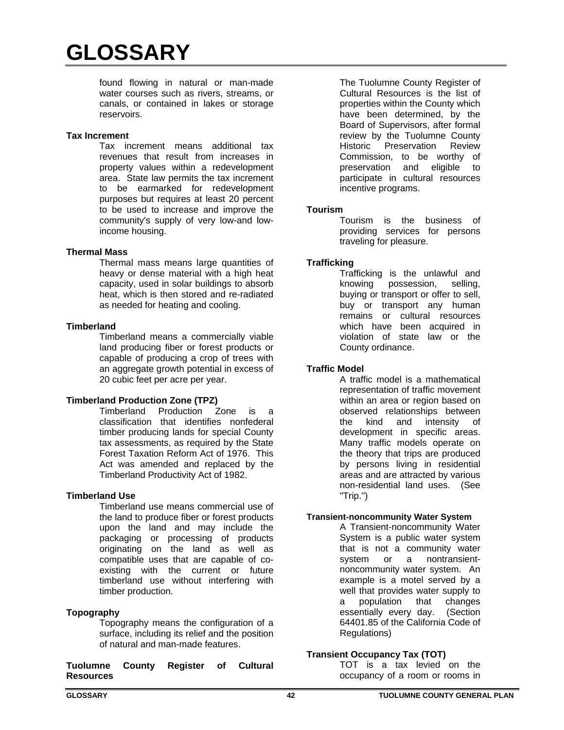found flowing in natural or man-made water courses such as rivers, streams, or canals, or contained in lakes or storage reservoirs.

## **Tax Increment**

Tax increment means additional tax revenues that result from increases in property values within a redevelopment area. State law permits the tax increment to be earmarked for redevelopment purposes but requires at least 20 percent to be used to increase and improve the community's supply of very low-and lowincome housing.

# **Thermal Mass**

Thermal mass means large quantities of heavy or dense material with a high heat capacity, used in solar buildings to absorb heat, which is then stored and re-radiated as needed for heating and cooling.

## **Timberland**

Timberland means a commercially viable land producing fiber or forest products or capable of producing a crop of trees with an aggregate growth potential in excess of 20 cubic feet per acre per year.

# **Timberland Production Zone (TPZ)**

Timberland Production Zone is a classification that identifies nonfederal timber producing lands for special County tax assessments, as required by the State Forest Taxation Reform Act of 1976. This Act was amended and replaced by the Timberland Productivity Act of 1982.

# **Timberland Use**

Timberland use means commercial use of the land to produce fiber or forest products upon the land and may include the packaging or processing of products originating on the land as well as compatible uses that are capable of coexisting with the current or future timberland use without interfering with timber production.

# **Topography**

Topography means the configuration of a surface, including its relief and the position of natural and man-made features.

**Tuolumne County Register of Cultural Resources** 

The Tuolumne County Register of Cultural Resources is the list of properties within the County which have been determined, by the Board of Supervisors, after formal review by the Tuolumne County Historic Preservation Review Commission, to be worthy of preservation and eligible to participate in cultural resources incentive programs.

## **Tourism**

Tourism is the business of providing services for persons traveling for pleasure.

# **Trafficking**

Trafficking is the unlawful and knowing possession, selling, buying or transport or offer to sell, buy or transport any human remains or cultural resources which have been acquired in violation of state law or the County ordinance.

### **Traffic Model**

A traffic model is a mathematical representation of traffic movement within an area or region based on observed relationships between the kind and intensity of development in specific areas. Many traffic models operate on the theory that trips are produced by persons living in residential areas and are attracted by various non-residential land uses. (See "Trip.")

#### **Transient-noncommunity Water System**

A Transient-noncommunity Water System is a public water system that is not a community water system or a nontransientnoncommunity water system. An example is a motel served by a well that provides water supply to a population that changes essentially every day. (Section 64401.85 of the California Code of Regulations)

# **Transient Occupancy Tax (TOT)**

TOT is a tax levied on the occupancy of a room or rooms in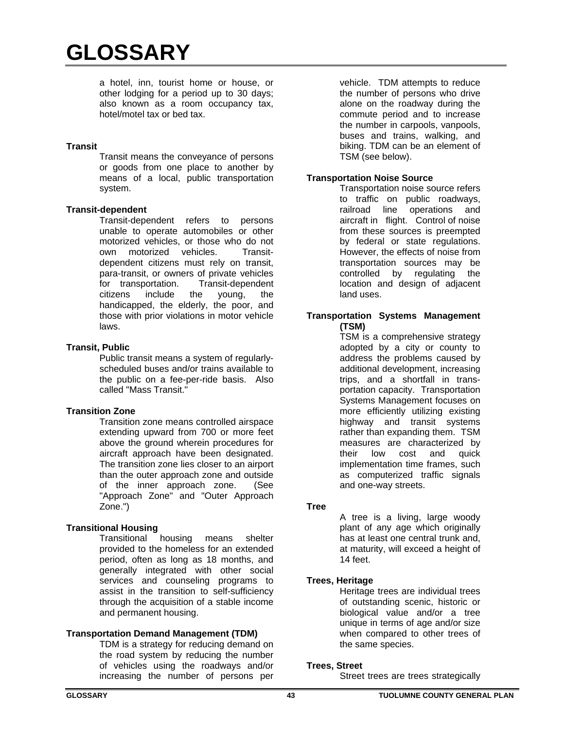a hotel, inn, tourist home or house, or other lodging for a period up to 30 days; also known as a room occupancy tax, hotel/motel tax or bed tax.

## **Transit**

Transit means the conveyance of persons or goods from one place to another by means of a local, public transportation system.

## **Transit-dependent**

Transit-dependent refers to persons unable to operate automobiles or other motorized vehicles, or those who do not own motorized vehicles. Transitdependent citizens must rely on transit, para-transit, or owners of private vehicles<br>for transportation. Transit-dependent for transportation. citizens include the young, the handicapped, the elderly, the poor, and those with prior violations in motor vehicle laws.

## **Transit, Public**

Public transit means a system of regularlyscheduled buses and/or trains available to the public on a fee-per-ride basis. Also called "Mass Transit."

# **Transition Zone**

Transition zone means controlled airspace extending upward from 700 or more feet above the ground wherein procedures for aircraft approach have been designated. The transition zone lies closer to an airport than the outer approach zone and outside of the inner approach zone. (See "Approach Zone" and "Outer Approach Zone.")

# **Transitional Housing**

Transitional housing means shelter provided to the homeless for an extended period, often as long as 18 months, and generally integrated with other social services and counseling programs to assist in the transition to self-sufficiency through the acquisition of a stable income and permanent housing.

# **Transportation Demand Management (TDM)**

TDM is a strategy for reducing demand on the road system by reducing the number of vehicles using the roadways and/or increasing the number of persons per

vehicle. TDM attempts to reduce the number of persons who drive alone on the roadway during the commute period and to increase the number in carpools, vanpools, buses and trains, walking, and biking. TDM can be an element of TSM (see below).

# **Transportation Noise Source**

Transportation noise source refers to traffic on public roadways, railroad line operations and aircraft in flight. Control of noise from these sources is preempted by federal or state regulations. However, the effects of noise from transportation sources may be controlled by regulating the location and design of adjacent land uses.

#### **Transportation Systems Management (TSM)**

 TSM is a comprehensive strategy adopted by a city or county to address the problems caused by additional development, increasing trips, and a shortfall in transportation capacity. Transportation Systems Management focuses on more efficiently utilizing existing highway and transit systems rather than expanding them. TSM measures are characterized by their low cost and quick implementation time frames, such as computerized traffic signals and one-way streets.

#### **Tree**

A tree is a living, large woody plant of any age which originally has at least one central trunk and, at maturity, will exceed a height of 14 feet.

# **Trees, Heritage**

Heritage trees are individual trees of outstanding scenic, historic or biological value and/or a tree unique in terms of age and/or size when compared to other trees of the same species.

#### **Trees, Street**

Street trees are trees strategically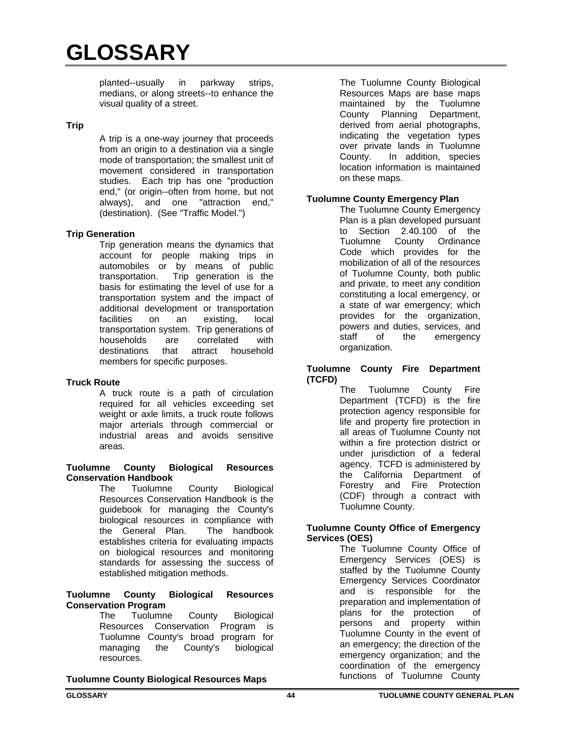planted--usually in parkway strips, medians, or along streets--to enhance the visual quality of a street.

# **Trip**

A trip is a one-way journey that proceeds from an origin to a destination via a single mode of transportation; the smallest unit of movement considered in transportation studies. Each trip has one "production end," (or origin--often from home, but not always), and one "attraction end," (destination). (See "Traffic Model.")

# **Trip Generation**

Trip generation means the dynamics that account for people making trips in automobiles or by means of public transportation. Trip generation is the basis for estimating the level of use for a transportation system and the impact of additional development or transportation facilities on an existing, local transportation system. Trip generations of households are correlated with destinations that attract household members for specific purposes.

# **Truck Route**

A truck route is a path of circulation required for all vehicles exceeding set weight or axle limits, a truck route follows major arterials through commercial or industrial areas and avoids sensitive areas.

#### **Tuolumne County Biological Resources Conservation Handbook**

The Tuolumne County Biological Resources Conservation Handbook is the guidebook for managing the County's biological resources in compliance with the General Plan. The handbook establishes criteria for evaluating impacts on biological resources and monitoring standards for assessing the success of established mitigation methods.

## **Tuolumne County Biological Resources Conservation Program**

The Tuolumne County Biological Resources Conservation Program is Tuolumne County's broad program for managing the County's biological resources.

The Tuolumne County Biological Resources Maps are base maps maintained by the Tuolumne County Planning Department, derived from aerial photographs, indicating the vegetation types over private lands in Tuolumne County. In addition, species location information is maintained on these maps.

# **Tuolumne County Emergency Plan**

The Tuolumne County Emergency Plan is a plan developed pursuant to Section 2.40.100 of the Tuolumne County Ordinance Code which provides for the mobilization of all of the resources of Tuolumne County, both public and private, to meet any condition constituting a local emergency, or a state of war emergency; which provides for the organization, powers and duties, services, and<br>staff of the emergency staff of the emergency organization.

## **Tuolumne County Fire Department (TCFD)**

The Tuolumne County Fire Department (TCFD) is the fire protection agency responsible for life and property fire protection in all areas of Tuolumne County not within a fire protection district or under jurisdiction of a federal agency. TCFD is administered by the California Department of Forestry and Fire Protection (CDF) through a contract with Tuolumne County.

# **Tuolumne County Office of Emergency Services (OES)**

The Tuolumne County Office of Emergency Services (OES) is staffed by the Tuolumne County Emergency Services Coordinator and is responsible for the preparation and implementation of plans for the protection of persons and property within Tuolumne County in the event of an emergency; the direction of the emergency organization; and the coordination of the emergency functions of Tuolumne County

# **Tuolumne County Biological Resources Maps**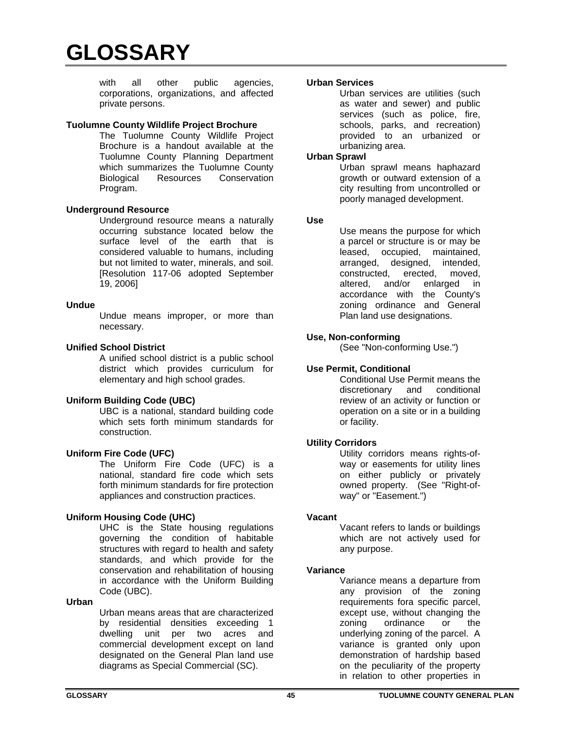with all other public agencies, corporations, organizations, and affected private persons.

## **Tuolumne County Wildlife Project Brochure**

The Tuolumne County Wildlife Project Brochure is a handout available at the Tuolumne County Planning Department which summarizes the Tuolumne County Biological Resources Conservation Program.

# **Underground Resource**

Underground resource means a naturally occurring substance located below the surface level of the earth that is considered valuable to humans, including but not limited to water, minerals, and soil. [Resolution 117-06 adopted September 19, 2006]

# **Undue**

Undue means improper, or more than necessary.

# **Unified School District**

A unified school district is a public school district which provides curriculum for elementary and high school grades.

# **Uniform Building Code (UBC)**

UBC is a national, standard building code which sets forth minimum standards for construction.

# **Uniform Fire Code (UFC)**

The Uniform Fire Code (UFC) is a national, standard fire code which sets forth minimum standards for fire protection appliances and construction practices.

# **Uniform Housing Code (UHC)**

UHC is the State housing regulations governing the condition of habitable structures with regard to health and safety standards, and which provide for the conservation and rehabilitation of housing in accordance with the Uniform Building Code (UBC).

## **Urban**

Urban means areas that are characterized by residential densities exceeding 1 dwelling unit per two acres and commercial development except on land designated on the General Plan land use diagrams as Special Commercial (SC).

## **Urban Services**

Urban services are utilities (such as water and sewer) and public services (such as police, fire, schools, parks, and recreation) provided to an urbanized or urbanizing area.

# **Urban Sprawl**

Urban sprawl means haphazard growth or outward extension of a city resulting from uncontrolled or poorly managed development.

## **Use**

Use means the purpose for which a parcel or structure is or may be leased, occupied, maintained, arranged, designed, intended, constructed, erected, moved, altered, and/or enlarged in accordance with the County's zoning ordinance and General Plan land use designations.

# **Use, Non-conforming**

(See "Non-conforming Use.")

# **Use Permit, Conditional**

Conditional Use Permit means the discretionary and conditional review of an activity or function or operation on a site or in a building or facility.

# **Utility Corridors**

Utility corridors means rights-ofway or easements for utility lines on either publicly or privately owned property. (See "Right-ofway" or "Easement.")

# **Vacant**

Vacant refers to lands or buildings which are not actively used for any purpose.

# **Variance**

Variance means a departure from any provision of the zoning requirements fora specific parcel, except use, without changing the zoning ordinance or the underlying zoning of the parcel. A variance is granted only upon demonstration of hardship based on the peculiarity of the property in relation to other properties in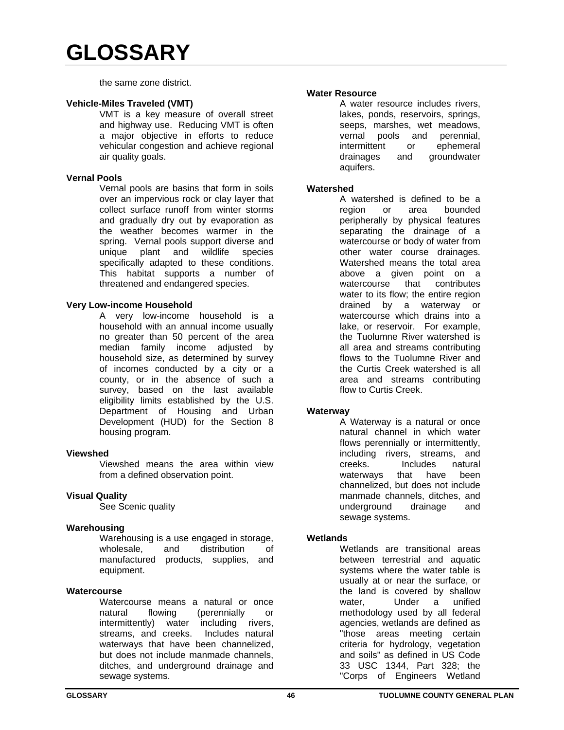the same zone district.

## **Vehicle-Miles Traveled (VMT)**

VMT is a key measure of overall street and highway use. Reducing VMT is often a major objective in efforts to reduce vehicular congestion and achieve regional air quality goals.

## **Vernal Pools**

Vernal pools are basins that form in soils over an impervious rock or clay layer that collect surface runoff from winter storms and gradually dry out by evaporation as the weather becomes warmer in the spring. Vernal pools support diverse and unique plant and wildlife species specifically adapted to these conditions. This habitat supports a number of threatened and endangered species.

## **Very Low-income Household**

A very low-income household is a household with an annual income usually no greater than 50 percent of the area median family income adjusted by household size, as determined by survey of incomes conducted by a city or a county, or in the absence of such a survey, based on the last available eligibility limits established by the U.S. Department of Housing and Urban Development (HUD) for the Section 8 housing program.

# **Viewshed**

Viewshed means the area within view from a defined observation point.

# **Visual Quality**

See Scenic quality

# **Warehousing**

Warehousing is a use engaged in storage, wholesale, and distribution of manufactured products, supplies, and equipment.

#### **Watercourse**

Watercourse means a natural or once natural flowing (perennially or intermittently) water including rivers, streams, and creeks. Includes natural waterways that have been channelized, but does not include manmade channels, ditches, and underground drainage and sewage systems.

#### **Water Resource**

A water resource includes rivers, lakes, ponds, reservoirs, springs, seeps, marshes, wet meadows, vernal pools and perennial, intermittent or ephemeral drainages and groundwater aquifers.

## **Watershed**

A watershed is defined to be a<br>region or area bounded region or area bounded peripherally by physical features separating the drainage of a watercourse or body of water from other water course drainages. Watershed means the total area above a given point on a watercourse that contributes water to its flow; the entire region drained by a waterway or watercourse which drains into a lake, or reservoir. For example, the Tuolumne River watershed is all area and streams contributing flows to the Tuolumne River and the Curtis Creek watershed is all area and streams contributing flow to Curtis Creek.

# **Waterway**

A Waterway is a natural or once natural channel in which water flows perennially or intermittently, including rivers, streams, and creeks. Includes natural waterways that have been channelized, but does not include manmade channels, ditches, and underground drainage and sewage systems.

# **Wetlands**

Wetlands are transitional areas between terrestrial and aquatic systems where the water table is usually at or near the surface, or the land is covered by shallow water, Under a unified methodology used by all federal agencies, wetlands are defined as "those areas meeting certain criteria for hydrology, vegetation and soils" as defined in US Code 33 USC 1344, Part 328; the "Corps of Engineers Wetland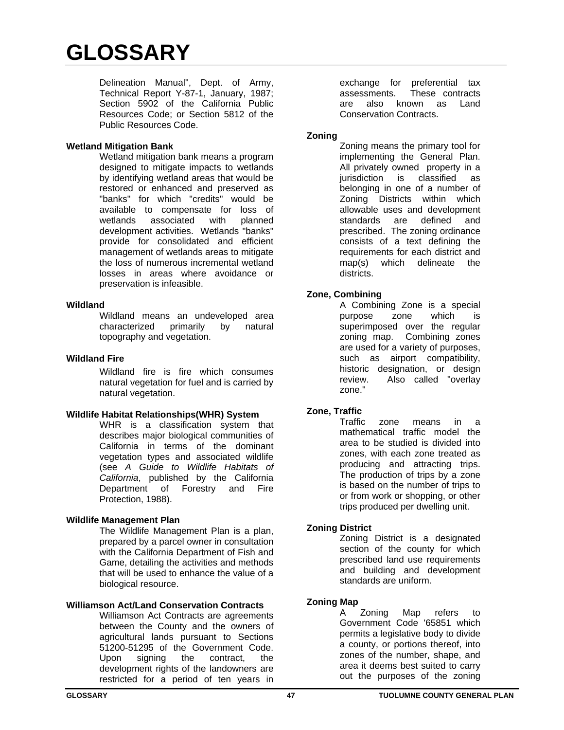Delineation Manual", Dept. of Army, Technical Report Y-87-1, January, 1987; Section 5902 of the California Public Resources Code; or Section 5812 of the Public Resources Code.

# **Wetland Mitigation Bank**

Wetland mitigation bank means a program designed to mitigate impacts to wetlands by identifying wetland areas that would be restored or enhanced and preserved as "banks" for which "credits" would be available to compensate for loss of wetlands associated with planned development activities. Wetlands "banks" provide for consolidated and efficient management of wetlands areas to mitigate the loss of numerous incremental wetland losses in areas where avoidance or preservation is infeasible.

# **Wildland**

Wildland means an undeveloped area characterized primarily by natural topography and vegetation.

# **Wildland Fire**

Wildland fire is fire which consumes natural vegetation for fuel and is carried by natural vegetation.

# **Wildlife Habitat Relationships(WHR) System**

WHR is a classification system that describes major biological communities of California in terms of the dominant vegetation types and associated wildlife (see *A Guide to Wildlife Habitats of California*, published by the California Department of Forestry and Fire Protection, 1988).

# **Wildlife Management Plan**

The Wildlife Management Plan is a plan, prepared by a parcel owner in consultation with the California Department of Fish and Game, detailing the activities and methods that will be used to enhance the value of a biological resource.

# **Williamson Act/Land Conservation Contracts**

Williamson Act Contracts are agreements between the County and the owners of agricultural lands pursuant to Sections 51200-51295 of the Government Code. Upon signing the contract, the development rights of the landowners are restricted for a period of ten years in

exchange for preferential tax assessments. These contracts are also known as Land Conservation Contracts.

# **Zoning**

Zoning means the primary tool for implementing the General Plan. All privately owned property in a jurisdiction is classified as belonging in one of a number of Zoning Districts within which allowable uses and development standards are defined and prescribed. The zoning ordinance consists of a text defining the requirements for each district and map(s) which delineate the districts.

# **Zone, Combining**

A Combining Zone is a special purpose zone which is superimposed over the regular zoning map. Combining zones are used for a variety of purposes, such as airport compatibility, historic designation, or design review. Also called "overlay zone."

# **Zone, Traffic**

Traffic zone means in a mathematical traffic model the area to be studied is divided into zones, with each zone treated as producing and attracting trips. The production of trips by a zone is based on the number of trips to or from work or shopping, or other trips produced per dwelling unit.

# **Zoning District**

Zoning District is a designated section of the county for which prescribed land use requirements and building and development standards are uniform.

# **Zoning Map**

A Zoning Map refers to Government Code '65851 which permits a legislative body to divide a county, or portions thereof, into zones of the number, shape, and area it deems best suited to carry out the purposes of the zoning